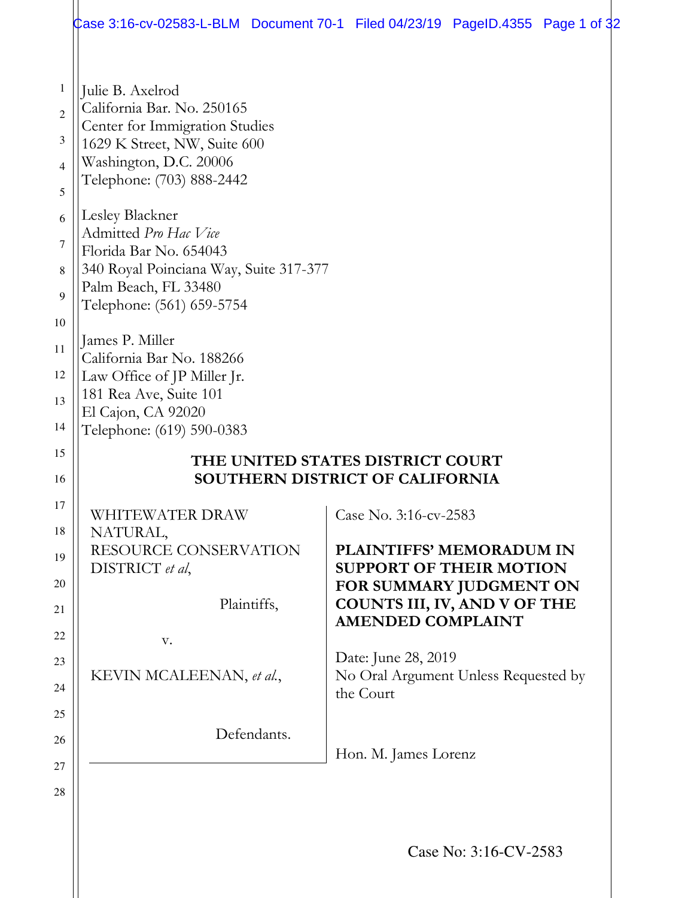| Julie B. Axelrod<br>California Bar. No. 250165<br>Center for Immigration Studies<br>1629 K Street, NW, Suite 600<br>Washington, D.C. 20006<br>Telephone: (703) 888-2442<br>Lesley Blackner<br>Admitted Pro Hac Vice<br>Florida Bar No. 654043<br>340 Royal Poinciana Way, Suite 317-377 |                                                                                                                                                          |                       |  |
|-----------------------------------------------------------------------------------------------------------------------------------------------------------------------------------------------------------------------------------------------------------------------------------------|----------------------------------------------------------------------------------------------------------------------------------------------------------|-----------------------|--|
| Palm Beach, FL 33480<br>Telephone: (561) 659-5754                                                                                                                                                                                                                                       |                                                                                                                                                          |                       |  |
| James P. Miller<br>California Bar No. 188266<br>Law Office of JP Miller Jr.<br>181 Rea Ave, Suite 101<br>El Cajon, CA 92020<br>Telephone: (619) 590-0383                                                                                                                                |                                                                                                                                                          |                       |  |
|                                                                                                                                                                                                                                                                                         | THE UNITED STATES DISTRICT COURT<br><b>SOUTHERN DISTRICT OF CALIFORNIA</b>                                                                               |                       |  |
| WHITEWATER DRAW<br>NATURAL,                                                                                                                                                                                                                                                             | Case No. 3:16-cv-2583                                                                                                                                    |                       |  |
| RESOURCE CONSERVATION<br>DISTRICT et al,<br>Plaintiffs,                                                                                                                                                                                                                                 | <b>PLAINTIFFS' MEMORADUM IN</b><br><b>SUPPORT OF THEIR MOTION</b><br>FOR SUMMARY JUDGMENT ON<br>COUNTS III, IV, AND V OF THE<br><b>AMENDED COMPLAINT</b> |                       |  |
| V.<br>KEVIN MCALEENAN, et al.,                                                                                                                                                                                                                                                          | Date: June 28, 2019<br>No Oral Argument Unless Requested by<br>the Court                                                                                 |                       |  |
| Defendants.                                                                                                                                                                                                                                                                             | Hon. M. James Lorenz                                                                                                                                     |                       |  |
|                                                                                                                                                                                                                                                                                         |                                                                                                                                                          | Case No: 3:16-CV-2583 |  |

 $\parallel$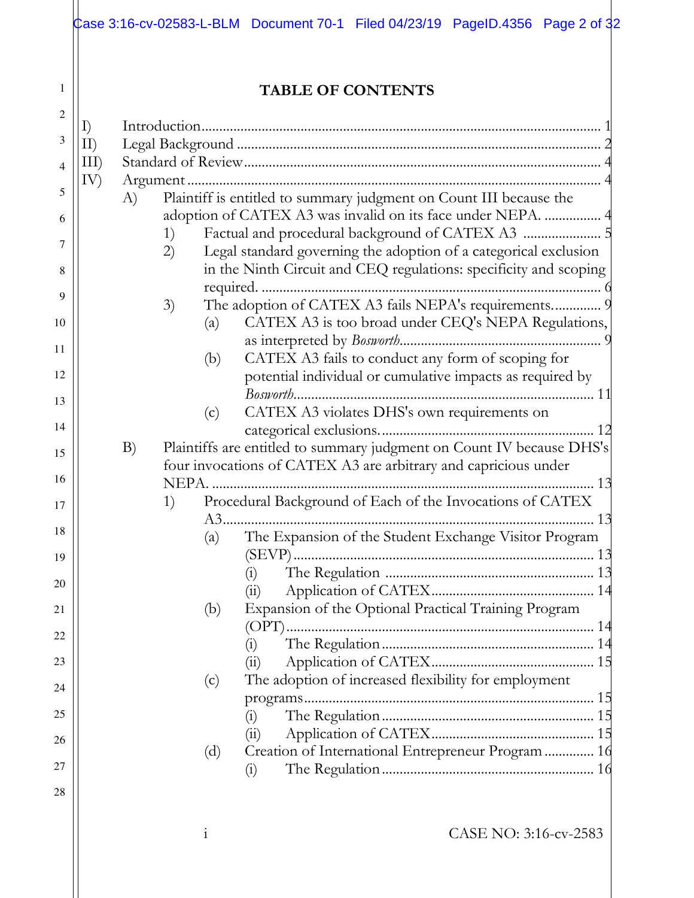|              |             |                       | <b>TABLE OF CONTENTS</b>                                                                                                                 |
|--------------|-------------|-----------------------|------------------------------------------------------------------------------------------------------------------------------------------|
| I)           |             |                       |                                                                                                                                          |
| $\text{II}$  |             |                       |                                                                                                                                          |
| $\text{III}$ |             |                       |                                                                                                                                          |
| IV)          | $\Lambda$ ) |                       | Plaintiff is entitled to summary judgment on Count III because the                                                                       |
|              |             |                       | adoption of CATEX A3 was invalid on its face under NEPA.  4                                                                              |
|              | 1)          |                       |                                                                                                                                          |
|              | 2)          |                       | Legal standard governing the adoption of a categorical exclusion                                                                         |
|              |             |                       | in the Ninth Circuit and CEQ regulations: specificity and scoping                                                                        |
|              |             |                       | The adoption of CATEX A3 fails NEPA's requirements 9                                                                                     |
|              | 3)          | (a)                   | CATEX A3 is too broad under CEQ's NEPA Regulations,                                                                                      |
|              |             |                       |                                                                                                                                          |
|              |             | (b)                   | CATEX A3 fails to conduct any form of scoping for                                                                                        |
|              |             |                       | potential individual or cumulative impacts as required by                                                                                |
|              |             | (c)                   | CATEX A3 violates DHS's own requirements on                                                                                              |
|              |             |                       |                                                                                                                                          |
|              | B)          |                       | Plaintiffs are entitled to summary judgment on Count IV because DHS's<br>four invocations of CATEX A3 are arbitrary and capricious under |
|              | 1)          | <b>NEPA</b><br>$A3$ . | Procedural Background of Each of the Invocations of CATEX                                                                                |
|              |             | (a)                   | The Expansion of the Student Exchange Visitor Program                                                                                    |
|              |             |                       |                                                                                                                                          |
|              |             |                       | $\left( 1\right)$<br>$\binom{11}{1}$                                                                                                     |
|              |             | (b)                   | Expansion of the Optional Practical Training Program                                                                                     |
|              |             |                       |                                                                                                                                          |
|              |             |                       | $\left( 1\right)$                                                                                                                        |
|              |             |                       | (i)                                                                                                                                      |
|              |             | (c)                   | The adoption of increased flexibility for employment                                                                                     |
|              |             |                       | $\binom{1}{1}$                                                                                                                           |
|              |             |                       | (11)                                                                                                                                     |
|              |             |                       |                                                                                                                                          |
|              |             | (d)                   | Creation of International Entrepreneur Program  16                                                                                       |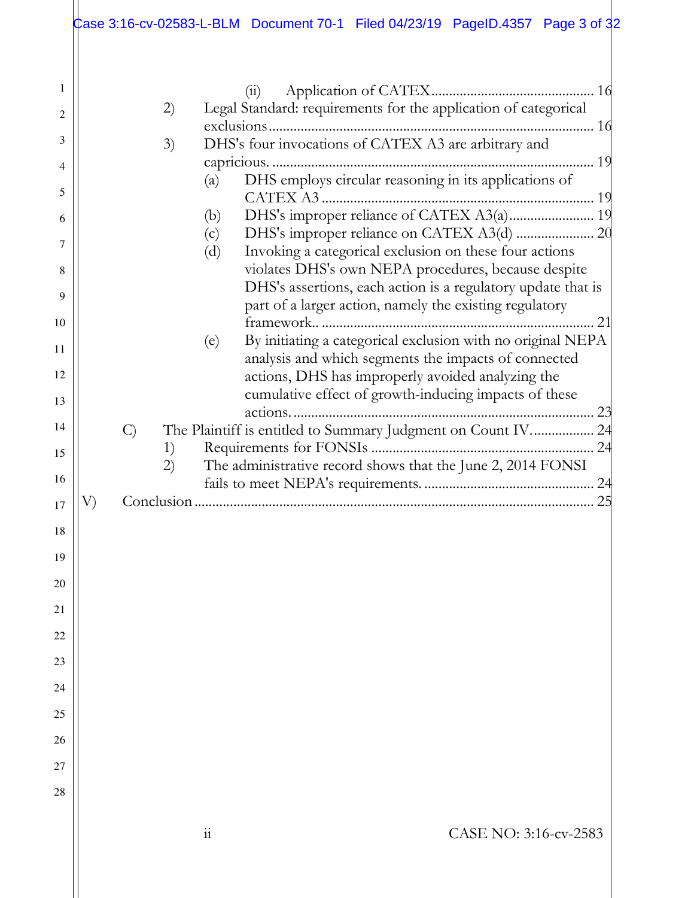|          |               | Case 3:16-cv-02583-L-BLM Document 70-1 Filed 04/23/19 PageID.4357 Page 3 of 32                                             |
|----------|---------------|----------------------------------------------------------------------------------------------------------------------------|
|          |               |                                                                                                                            |
| 1        |               | (i)                                                                                                                        |
| 2        | 2)            | Legal Standard: requirements for the application of categorical                                                            |
| 3        |               |                                                                                                                            |
|          | 3)            | DHS's four invocations of CATEX A3 are arbitrary and                                                                       |
| 4        |               | DHS employs circular reasoning in its applications of<br>(a)                                                               |
| 5        |               |                                                                                                                            |
| 6        |               | (b)                                                                                                                        |
| 7        |               | (c)                                                                                                                        |
| 8        |               | Invoking a categorical exclusion on these four actions<br>(d)<br>violates DHS's own NEPA procedures, because despite       |
|          |               | DHS's assertions, each action is a regulatory update that is                                                               |
| 9        |               | part of a larger action, namely the existing regulatory                                                                    |
| 10       |               |                                                                                                                            |
| 11       |               | By initiating a categorical exclusion with no original NEPA<br>(e)<br>analysis and which segments the impacts of connected |
| 12       |               | actions, DHS has improperly avoided analyzing the                                                                          |
| 13       |               | cumulative effect of growth-inducing impacts of these                                                                      |
| 14       | $\mathcal{C}$ | The Plaintiff is entitled to Summary Judgment on Count IV 24                                                               |
| 15       | 1)            |                                                                                                                            |
| 16       | 2)            | The administrative record shows that the June 2, 2014 FONSI                                                                |
| 17       |               | 25                                                                                                                         |
|          |               |                                                                                                                            |
| 18       |               |                                                                                                                            |
| 19       |               |                                                                                                                            |
| 20<br>21 |               |                                                                                                                            |
| 22       |               |                                                                                                                            |
| 23       |               |                                                                                                                            |
| 24       |               |                                                                                                                            |
| 25       |               |                                                                                                                            |
| 26       |               |                                                                                                                            |
| 27       |               |                                                                                                                            |
| 28       |               |                                                                                                                            |
|          |               |                                                                                                                            |
|          |               | CASE NO: 3:16-cv-2583<br>11                                                                                                |
|          |               |                                                                                                                            |
|          |               |                                                                                                                            |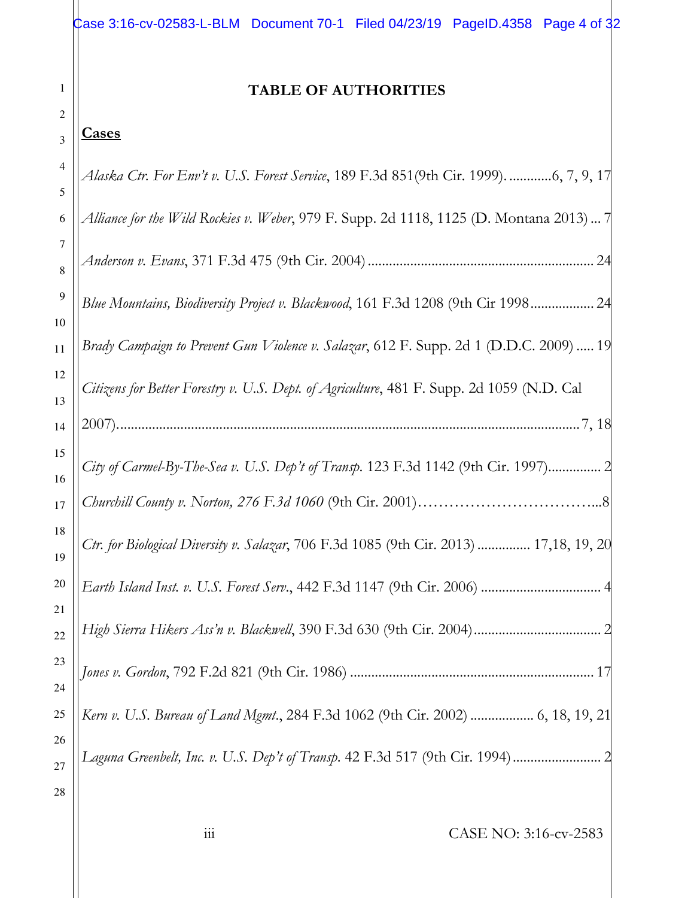| Case 3:16-cv-02583-L-BLM Document 70-1 Filed 04/23/19 PageID.4358 Page 4 of 32 |  |  |  |
|--------------------------------------------------------------------------------|--|--|--|
|                                                                                |  |  |  |

### **TABLE OF AUTHORITIES**

#### 3 **Cases**

1

| 4        | Alaska Ctr. For Env't v. U.S. Forest Service, 189 F.3d 851(9th Cir. 1999). 6, 7, 9, 17    |
|----------|-------------------------------------------------------------------------------------------|
| 5        |                                                                                           |
| 6        | Alliance for the Wild Rockies v. Weber, 979 F. Supp. 2d 1118, 1125 (D. Montana 2013)  7   |
| 7<br>8   |                                                                                           |
| 9<br>10  | Blue Mountains, Biodiversity Project v. Blackwood, 161 F.3d 1208 (9th Cir 1998 24         |
| 11       | Brady Campaign to Prevent Gun Violence v. Salazar, 612 F. Supp. 2d 1 (D.D.C. 2009)  19    |
| 12<br>13 | Citizens for Better Forestry v. U.S. Dept. of Agriculture, 481 F. Supp. 2d 1059 (N.D. Cal |
| 14       |                                                                                           |
| 15<br>16 | City of Carmel-By-The-Sea v. U.S. Dep't of Transp. 123 F.3d 1142 (9th Cir. 1997) 2        |
| 17       |                                                                                           |
| 18<br>19 | Ctr. for Biological Diversity v. Salazar, 706 F.3d 1085 (9th Cir. 2013)  17,18, 19, 20    |
| 20       | Earth Island Inst. v. U.S. Forest Serv., 442 F.3d 1147 (9th Cir. 2006)                    |
| 21<br>22 | High Sierra Hikers Ass'n v. Blackwell, 390 F.3d 630 (9th Cir. 2004)                       |
| 23<br>24 | 17                                                                                        |
| 25       | Kern v. U.S. Bureau of Land Mgmt., 284 F.3d 1062 (9th Cir. 2002)  6, 18, 19, 21           |
| 26       |                                                                                           |
| 27       | Laguna Greenbelt, Inc. v. U.S. Dep't of Transp. 42 F.3d 517 (9th Cir. 1994) 2             |
| 28       |                                                                                           |
|          |                                                                                           |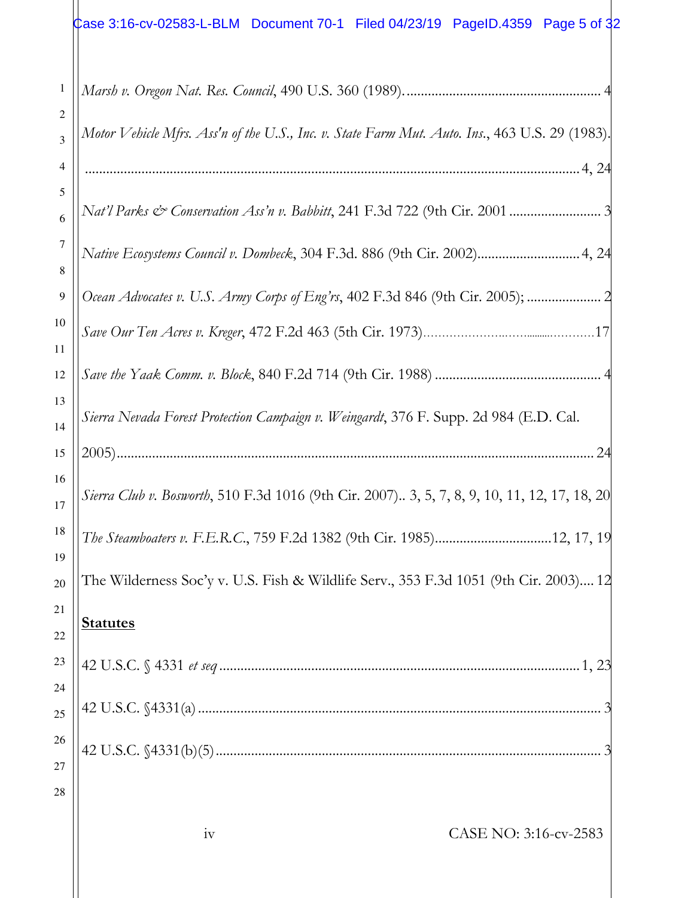| 1              |                                                                                                      |
|----------------|------------------------------------------------------------------------------------------------------|
| 2              |                                                                                                      |
| 3              | Motor Vehicle Mfrs. Ass'n of the U.S., Inc. v. State Farm Mut. Auto. Ins., 463 U.S. 29 (1983).       |
| 4              |                                                                                                      |
| 5              |                                                                                                      |
| 6              |                                                                                                      |
| 7              | Native Ecosystems Council v. Dombeck, 304 F.3d. 886 (9th Cir. 2002) 4, 24                            |
| 8              |                                                                                                      |
| $\overline{9}$ | Ocean Advocates v. U.S. Army Corps of Eng'rs, 402 F.3d 846 (9th Cir. 2005);                          |
| 10             |                                                                                                      |
| 11             |                                                                                                      |
| 12             |                                                                                                      |
| 13             |                                                                                                      |
| 14             | Sierra Nevada Forest Protection Campaign v. Weingardt, 376 F. Supp. 2d 984 (E.D. Cal.                |
| 15             | 24<br>$2005)$                                                                                        |
| 16             |                                                                                                      |
| 17             | <i>Sierra Club v. Bosworth</i> , 510 F.3d 1016 (9th Cir. 2007) 3, 5, 7, 8, 9, 10, 11, 12, 17, 18, 20 |
| 18             |                                                                                                      |
| 19             |                                                                                                      |
| 20             | The Wilderness Soc'y v. U.S. Fish & Wildlife Serv., 353 F.3d 1051 (9th Cir. 2003) 12                 |
| 21             |                                                                                                      |
| 22             | <b>Statutes</b>                                                                                      |
| 23             |                                                                                                      |
| 24             |                                                                                                      |
| 25             |                                                                                                      |
| 26             |                                                                                                      |
| 27             |                                                                                                      |
| 28             |                                                                                                      |
|                |                                                                                                      |
|                | CASE NO: 3:16-cv-2583<br>1V                                                                          |
|                |                                                                                                      |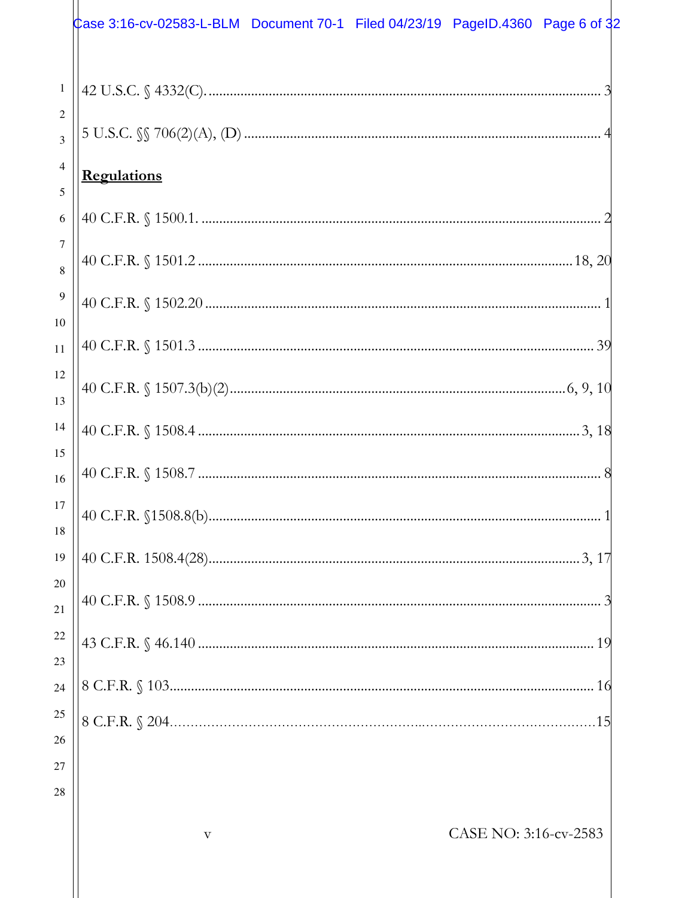|                       | Case 3:16-cv-02583-L-BLM Document 70-1 Filed 04/23/19 PageID.4360 Page 6 of 32 |
|-----------------------|--------------------------------------------------------------------------------|
| $\mathbf{1}$<br>2     |                                                                                |
| $\overline{3}$        |                                                                                |
| $\overline{4}$<br>5   | <b>Regulations</b>                                                             |
| $\sqrt{6}$            |                                                                                |
| $\boldsymbol{7}$<br>8 |                                                                                |
| $\overline{9}$<br>10  |                                                                                |
| 11                    |                                                                                |
| 12<br>13              |                                                                                |
| 14                    |                                                                                |
| 15<br>16              |                                                                                |
| 17<br>18              |                                                                                |
| 19                    |                                                                                |
| 20<br>21              |                                                                                |
| 22<br>23              |                                                                                |
| 24                    |                                                                                |
| 25                    |                                                                                |
| 26<br>27              |                                                                                |
| 28                    |                                                                                |
|                       | CASE NO: 3:16-cv-2583<br>$\overline{\mathrm{V}}$                               |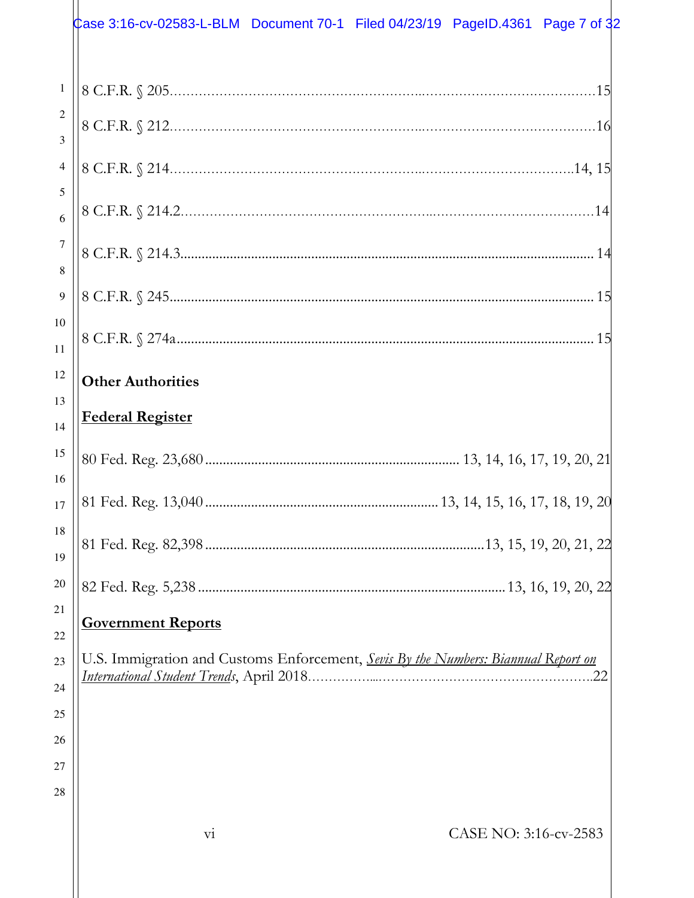|                       | Case 3:16-cv-02583-L-BLM Document 70-1 Filed 04/23/19 PageID.4361 Page 7 of 32     |  |                       |    |
|-----------------------|------------------------------------------------------------------------------------|--|-----------------------|----|
| $\,1\,$               |                                                                                    |  |                       |    |
| $\overline{2}$<br>3   |                                                                                    |  |                       |    |
| $\overline{4}$        |                                                                                    |  |                       |    |
| 5<br>6                |                                                                                    |  |                       |    |
| $\boldsymbol{7}$<br>8 |                                                                                    |  |                       |    |
| $\overline{9}$        |                                                                                    |  |                       |    |
| 10<br>11              |                                                                                    |  |                       |    |
| 12<br>13              | <b>Other Authorities</b>                                                           |  |                       |    |
| 14                    | <b>Federal Register</b>                                                            |  |                       |    |
| 15<br>16              |                                                                                    |  |                       |    |
| 17                    |                                                                                    |  |                       |    |
| 18<br>19              |                                                                                    |  |                       |    |
| 20<br>21              |                                                                                    |  |                       |    |
| 22                    | <b>Government Reports</b>                                                          |  |                       |    |
| 23<br>24              | U.S. Immigration and Customs Enforcement, Sevis By the Numbers: Biannual Report on |  |                       | 22 |
| 25                    |                                                                                    |  |                       |    |
| 26                    |                                                                                    |  |                       |    |
| 27                    |                                                                                    |  |                       |    |
| 28                    |                                                                                    |  |                       |    |
|                       | $\overline{\mathrm{vi}}$                                                           |  | CASE NO: 3:16-cv-2583 |    |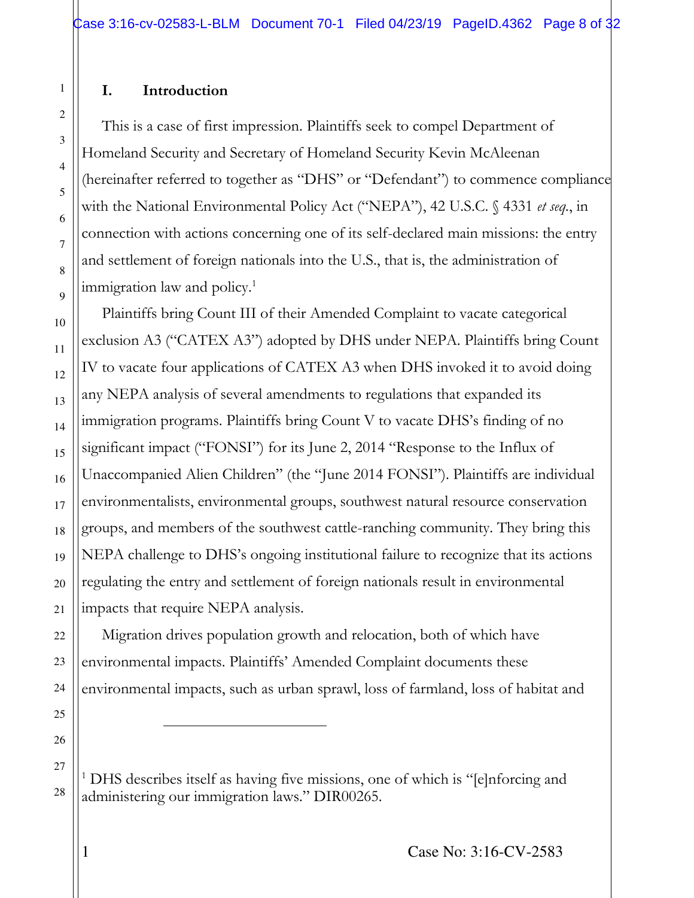#### **I. Introduction**

 $\overline{a}$ 

This is a case of first impression. Plaintiffs seek to compel Department of Homeland Security and Secretary of Homeland Security Kevin McAleenan (hereinafter referred to together as "DHS" or "Defendant") to commence compliance with the National Environmental Policy Act ("NEPA"), 42 U.S.C. § 4331 *et seq.*, in connection with actions concerning one of its self-declared main missions: the entry and settlement of foreign nationals into the U.S., that is, the administration of immigration law and policy.<sup>1</sup>

Plaintiffs bring Count III of their Amended Complaint to vacate categorical exclusion A3 ("CATEX A3") adopted by DHS under NEPA. Plaintiffs bring Count IV to vacate four applications of CATEX A3 when DHS invoked it to avoid doing any NEPA analysis of several amendments to regulations that expanded its immigration programs. Plaintiffs bring Count V to vacate DHS's finding of no significant impact ("FONSI") for its June 2, 2014 "Response to the Influx of Unaccompanied Alien Children" (the "June 2014 FONSI"). Plaintiffs are individual environmentalists, environmental groups, southwest natural resource conservation groups, and members of the southwest cattle-ranching community. They bring this NEPA challenge to DHS's ongoing institutional failure to recognize that its actions regulating the entry and settlement of foreign nationals result in environmental impacts that require NEPA analysis.

Migration drives population growth and relocation, both of which have environmental impacts. Plaintiffs' Amended Complaint documents these environmental impacts, such as urban sprawl, loss of farmland, loss of habitat and

<sup>1</sup> DHS describes itself as having five missions, one of which is "[e]nforcing and administering our immigration laws." DIR00265.

1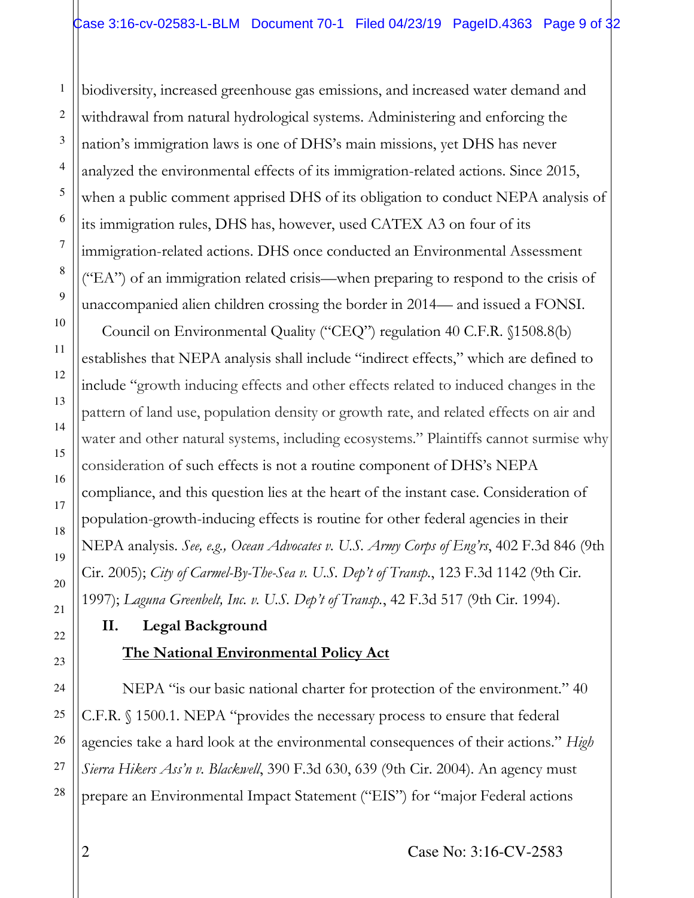biodiversity, increased greenhouse gas emissions, and increased water demand and withdrawal from natural hydrological systems. Administering and enforcing the nation's immigration laws is one of DHS's main missions, yet DHS has never analyzed the environmental effects of its immigration-related actions. Since 2015, when a public comment apprised DHS of its obligation to conduct NEPA analysis of its immigration rules, DHS has, however, used CATEX A3 on four of its immigration-related actions. DHS once conducted an Environmental Assessment ("EA") of an immigration related crisis—when preparing to respond to the crisis of unaccompanied alien children crossing the border in 2014— and issued a FONSI.

Council on Environmental Quality ("CEQ") regulation 40 C.F.R. §1508.8(b) establishes that NEPA analysis shall include "indirect effects," which are defined to include "growth inducing effects and other effects related to induced changes in the pattern of land use, population density or growth rate, and related effects on air and water and other natural systems, including ecosystems." Plaintiffs cannot surmise why consideration of such effects is not a routine component of DHS's NEPA compliance, and this question lies at the heart of the instant case. Consideration of population-growth-inducing effects is routine for other federal agencies in their NEPA analysis. *See, e.g., Ocean Advocates v. U.S. Army Corps of Eng'rs*, 402 F.3d 846 (9th Cir. 2005); *City of Carmel-By-The-Sea v. U.S. Dep't of Transp.*, 123 F.3d 1142 (9th Cir. 1997); *Laguna Greenbelt, Inc. v. U.S. Dep't of Transp.*, 42 F.3d 517 (9th Cir. 1994).

# **II. Legal Background**

## **The National Environmental Policy Act**

NEPA "is our basic national charter for protection of the environment." 40 C.F.R. § 1500.1. NEPA "provides the necessary process to ensure that federal agencies take a hard look at the environmental consequences of their actions." *High Sierra Hikers Ass'n v. Blackwell*, 390 F.3d 630, 639 (9th Cir. 2004). An agency must prepare an Environmental Impact Statement ("EIS") for "major Federal actions

1

2

3

4

5

6

7

8

9

10

11

12

13

14

15

16

17

18

19

20

21

22

23

24

25

26

27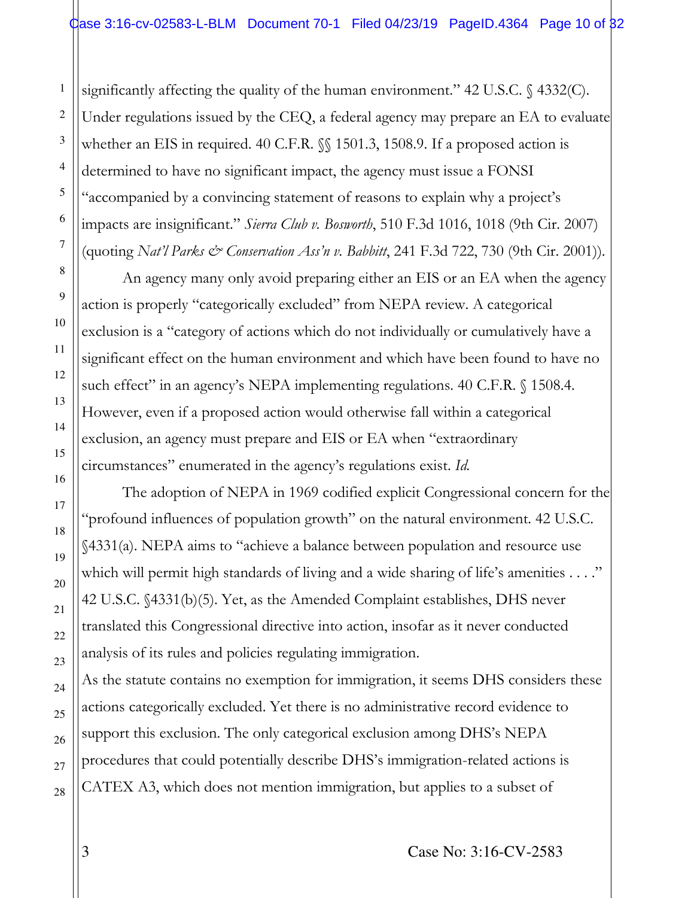significantly affecting the quality of the human environment." 42 U.S.C. § 4332(C). Under regulations issued by the CEQ, a federal agency may prepare an EA to evaluate whether an EIS in required. 40 C.F.R.  $\mathcal{S}$  1501.3, 1508.9. If a proposed action is determined to have no significant impact, the agency must issue a FONSI "accompanied by a convincing statement of reasons to explain why a project's impacts are insignificant." *Sierra Club v. Bosworth*, 510 F.3d 1016, 1018 (9th Cir. 2007) (quoting *Nat'l Parks & Conservation Ass'n v. Babbitt*, 241 F.3d 722, 730 (9th Cir. 2001)).

An agency many only avoid preparing either an EIS or an EA when the agency action is properly "categorically excluded" from NEPA review. A categorical exclusion is a "category of actions which do not individually or cumulatively have a significant effect on the human environment and which have been found to have no such effect" in an agency's NEPA implementing regulations. 40 C.F.R. § 1508.4. However, even if a proposed action would otherwise fall within a categorical exclusion, an agency must prepare and EIS or EA when "extraordinary circumstances" enumerated in the agency's regulations exist. *Id.*

The adoption of NEPA in 1969 codified explicit Congressional concern for the "profound influences of population growth" on the natural environment. 42 U.S.C. §4331(a). NEPA aims to "achieve a balance between population and resource use which will permit high standards of living and a wide sharing of life's amenities . . . ." 42 U.S.C. §4331(b)(5). Yet, as the Amended Complaint establishes, DHS never translated this Congressional directive into action, insofar as it never conducted analysis of its rules and policies regulating immigration.

As the statute contains no exemption for immigration, it seems DHS considers these actions categorically excluded. Yet there is no administrative record evidence to support this exclusion. The only categorical exclusion among DHS's NEPA procedures that could potentially describe DHS's immigration-related actions is CATEX A3, which does not mention immigration, but applies to a subset of

1

2

3

4

5

6

7

8

9

10

11

12

13

14

15

16

17

18

19

20

21

22

23

24

25

26

27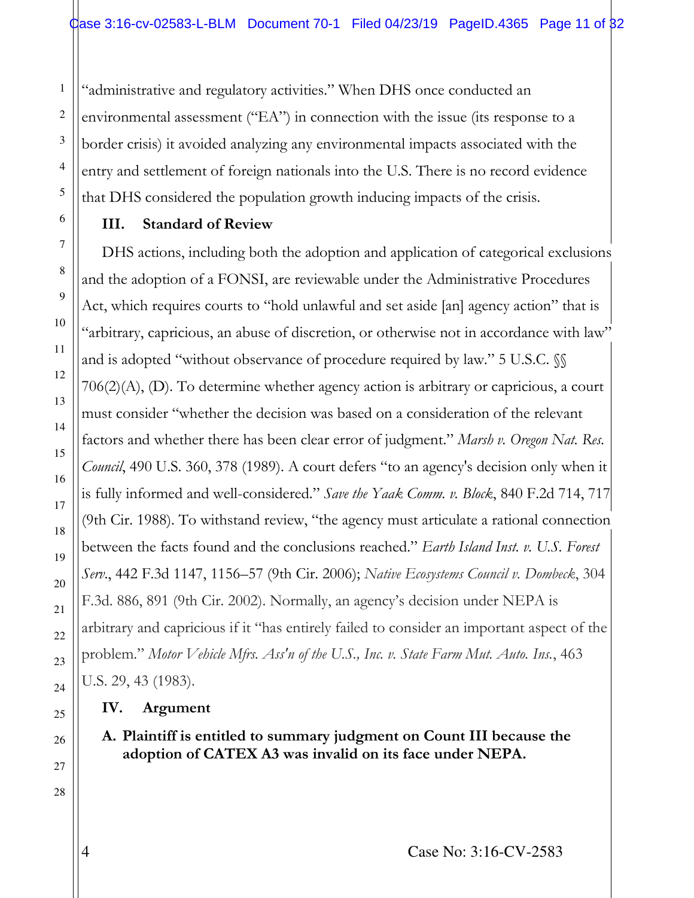"administrative and regulatory activities." When DHS once conducted an environmental assessment ("EA") in connection with the issue (its response to a border crisis) it avoided analyzing any environmental impacts associated with the entry and settlement of foreign nationals into the U.S. There is no record evidence that DHS considered the population growth inducing impacts of the crisis.

#### **III. Standard of Review**

1

2

3

4

5

6

7

8

9

10

11

12

13

14

15

16

17

18

19

20

21

22

23

24

25

26

27

28

DHS actions, including both the adoption and application of categorical exclusions and the adoption of a FONSI, are reviewable under the Administrative Procedures Act, which requires courts to "hold unlawful and set aside [an] agency action" that is "arbitrary, capricious, an abuse of discretion, or otherwise not in accordance with law" and is adopted "without observance of procedure required by law." 5 U.S.C.  $\%$ 706(2)(A), (D). To determine whether agency action is arbitrary or capricious, a court must consider "whether the decision was based on a consideration of the relevant factors and whether there has been clear error of judgment." *Marsh v. Oregon Nat. Res. Council*, 490 U.S. 360, 378 (1989). A court defers "to an agency's decision only when it is fully informed and well-considered." *Save the Yaak Comm. v. Block*, 840 F.2d 714, 717 (9th Cir. 1988). To withstand review, "the agency must articulate a rational connection between the facts found and the conclusions reached." *Earth Island Inst. v. U.S. Forest Serv*., 442 F.3d 1147, 1156–57 (9th Cir. 2006); *Native Ecosystems Council v. Dombeck*, 304 F.3d. 886, 891 (9th Cir. 2002). Normally, an agency's decision under NEPA is arbitrary and capricious if it "has entirely failed to consider an important aspect of the problem." *Motor Vehicle Mfrs. Ass'n of the U.S., Inc. v. State Farm Mut. Auto. Ins.*, 463 U.S. 29, 43 (1983).

**IV. Argument** 

**A. Plaintiff is entitled to summary judgment on Count III because the adoption of CATEX A3 was invalid on its face under NEPA.**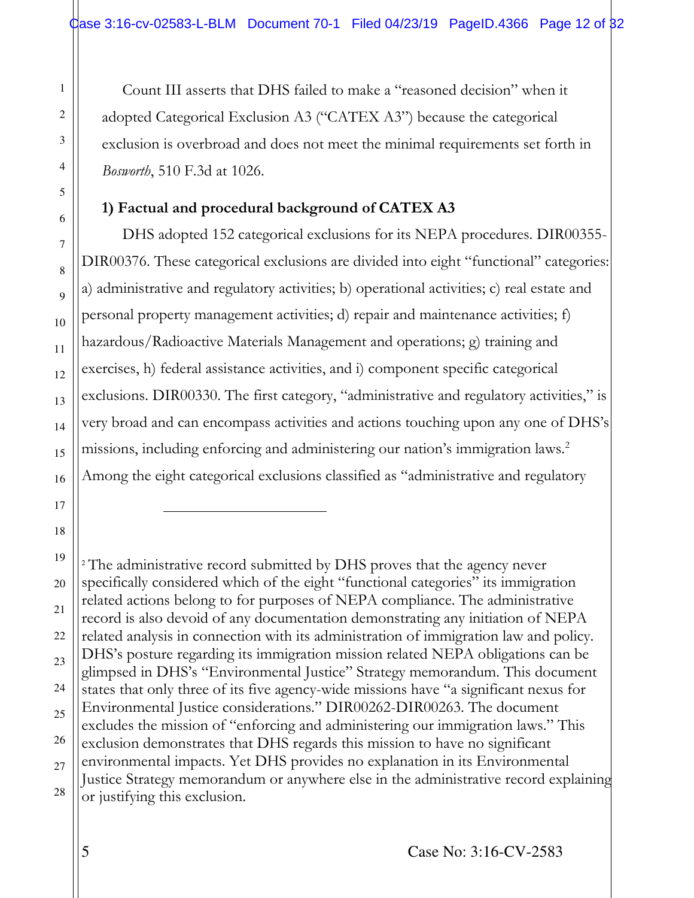Count III asserts that DHS failed to make a "reasoned decision" when it adopted Categorical Exclusion A3 ("CATEX A3") because the categorical exclusion is overbroad and does not meet the minimal requirements set forth in *Bosworth*, 510 F.3d at 1026.

#### **1) Factual and procedural background of CATEX A3**

DHS adopted 152 categorical exclusions for its NEPA procedures. DIR00355- DIR00376. These categorical exclusions are divided into eight "functional" categories: a) administrative and regulatory activities; b) operational activities; c) real estate and personal property management activities; d) repair and maintenance activities; f) hazardous/Radioactive Materials Management and operations; g) training and exercises, h) federal assistance activities, and i) component specific categorical exclusions. DIR00330. The first category, "administrative and regulatory activities," is very broad and can encompass activities and actions touching upon any one of DHS's missions, including enforcing and administering our nation's immigration laws.<sup>2</sup> Among the eight categorical exclusions classified as "administrative and regulatory

<sup>2</sup> The administrative record submitted by DHS proves that the agency never specifically considered which of the eight "functional categories" its immigration related actions belong to for purposes of NEPA compliance. The administrative record is also devoid of any documentation demonstrating any initiation of NEPA related analysis in connection with its administration of immigration law and policy. DHS's posture regarding its immigration mission related NEPA obligations can be glimpsed in DHS's "Environmental Justice" Strategy memorandum. This document states that only three of its five agency-wide missions have "a significant nexus for Environmental Justice considerations." DIR00262-DIR00263. The document excludes the mission of "enforcing and administering our immigration laws." This exclusion demonstrates that DHS regards this mission to have no significant environmental impacts. Yet DHS provides no explanation in its Environmental Justice Strategy memorandum or anywhere else in the administrative record explaining or justifying this exclusion.

L

1

2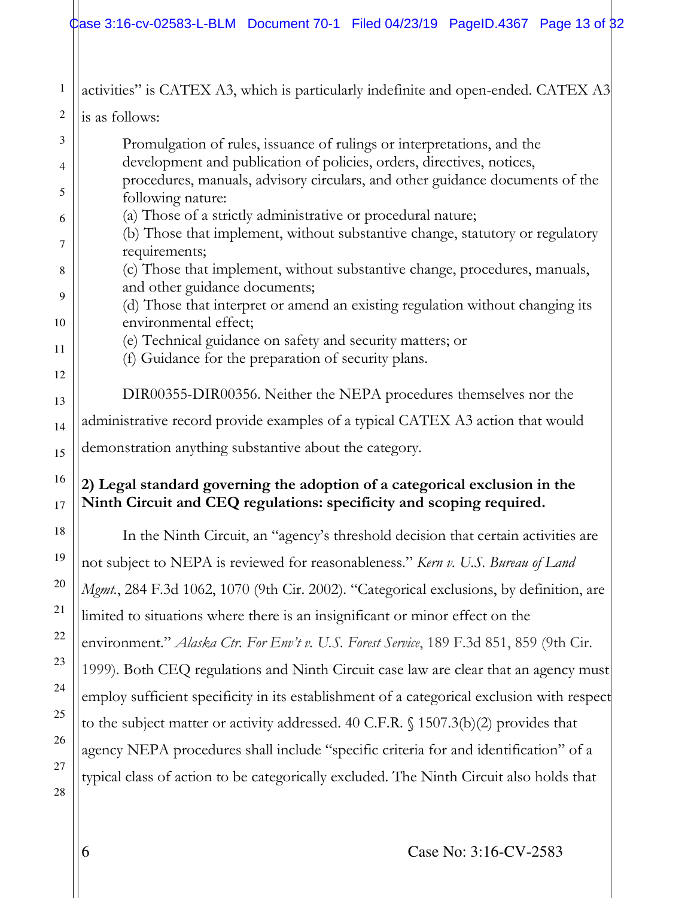#### Case 3:16-cv-02583-L-BLM Document 70-1 Filed 04/23/19 PageID.4367 Page 13 of 32

1 2 3 4 5 6 7 8 9 10 11 12 13 14 15 16 17 18 19 20 21 22 23 24 25 26 27 28 activities" is CATEX A3, which is particularly indefinite and open-ended. CATEX A3 is as follows: Promulgation of rules, issuance of rulings or interpretations, and the development and publication of policies, orders, directives, notices, procedures, manuals, advisory circulars, and other guidance documents of the following nature: (a) Those of a strictly administrative or procedural nature; (b) Those that implement, without substantive change, statutory or regulatory requirements; (c) Those that implement, without substantive change, procedures, manuals, and other guidance documents; (d) Those that interpret or amend an existing regulation without changing its environmental effect; (e) Technical guidance on safety and security matters; or (f) Guidance for the preparation of security plans. DIR00355-DIR00356. Neither the NEPA procedures themselves nor the administrative record provide examples of a typical CATEX A3 action that would demonstration anything substantive about the category. **2) Legal standard governing the adoption of a categorical exclusion in the Ninth Circuit and CEQ regulations: specificity and scoping required.**  In the Ninth Circuit, an "agency's threshold decision that certain activities are not subject to NEPA is reviewed for reasonableness." *Kern v. U.S. Bureau of Land Mgmt.*, 284 F.3d 1062, 1070 (9th Cir. 2002). "Categorical exclusions, by definition, are limited to situations where there is an insignificant or minor effect on the environment." *Alaska Ctr. For Env't v. U.S. Forest Service*, 189 F.3d 851, 859 (9th Cir. 1999). Both CEQ regulations and Ninth Circuit case law are clear that an agency must employ sufficient specificity in its establishment of a categorical exclusion with respect to the subject matter or activity addressed. 40 C.F.R. § 1507.3(b)(2) provides that agency NEPA procedures shall include "specific criteria for and identification" of a typical class of action to be categorically excluded. The Ninth Circuit also holds that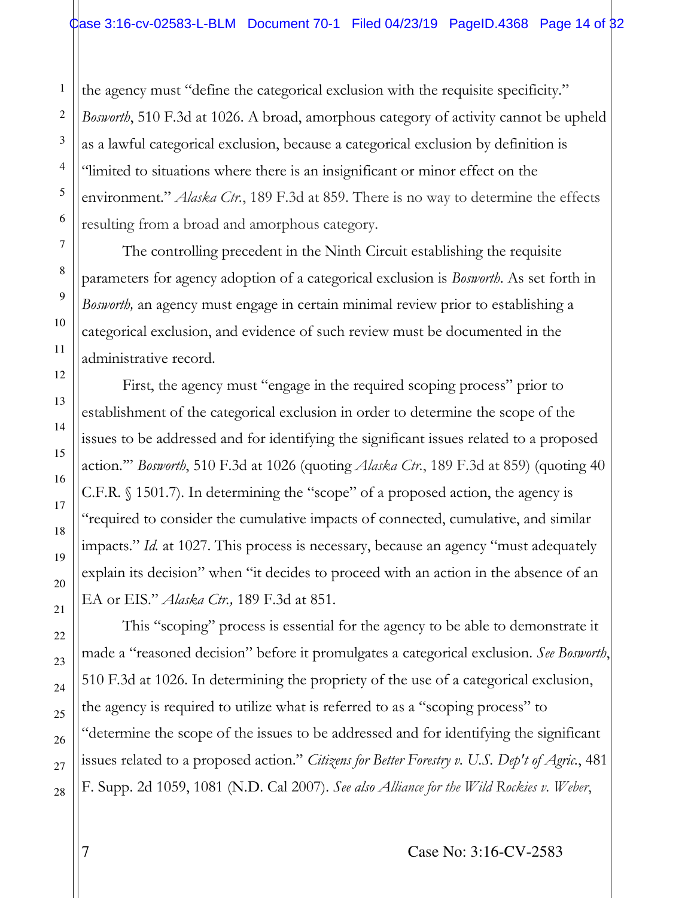the agency must "define the categorical exclusion with the requisite specificity." *Bosworth*, 510 F.3d at 1026. A broad, amorphous category of activity cannot be upheld as a lawful categorical exclusion, because a categorical exclusion by definition is "limited to situations where there is an insignificant or minor effect on the environment." *Alaska Ctr.*, 189 F.3d at 859. There is no way to determine the effects resulting from a broad and amorphous category.

The controlling precedent in the Ninth Circuit establishing the requisite parameters for agency adoption of a categorical exclusion is *Bosworth*. As set forth in *Bosworth,* an agency must engage in certain minimal review prior to establishing a categorical exclusion, and evidence of such review must be documented in the administrative record.

First, the agency must "engage in the required scoping process" prior to establishment of the categorical exclusion in order to determine the scope of the issues to be addressed and for identifying the significant issues related to a proposed action.'" *Bosworth*, 510 F.3d at 1026 (quoting *Alaska Ctr.*, 189 F.3d at 859) (quoting 40 C.F.R. § 1501.7). In determining the "scope" of a proposed action, the agency is "required to consider the cumulative impacts of connected, cumulative, and similar impacts." *Id.* at 1027. This process is necessary, because an agency "must adequately explain its decision" when "it decides to proceed with an action in the absence of an EA or EIS." *Alaska Ctr.,* 189 F.3d at 851.

This "scoping" process is essential for the agency to be able to demonstrate it made a "reasoned decision" before it promulgates a categorical exclusion. *See Bosworth*, 510 F.3d at 1026. In determining the propriety of the use of a categorical exclusion, the agency is required to utilize what is referred to as a "scoping process" to "determine the scope of the issues to be addressed and for identifying the significant issues related to a proposed action." *Citizens for Better Forestry v. U.S. Dep't of Agric.*, 481 F. Supp. 2d 1059, 1081 (N.D. Cal 2007). *See also Alliance for the Wild Rockies v. Weber*,

1

7 Case No: 3:16-CV-2583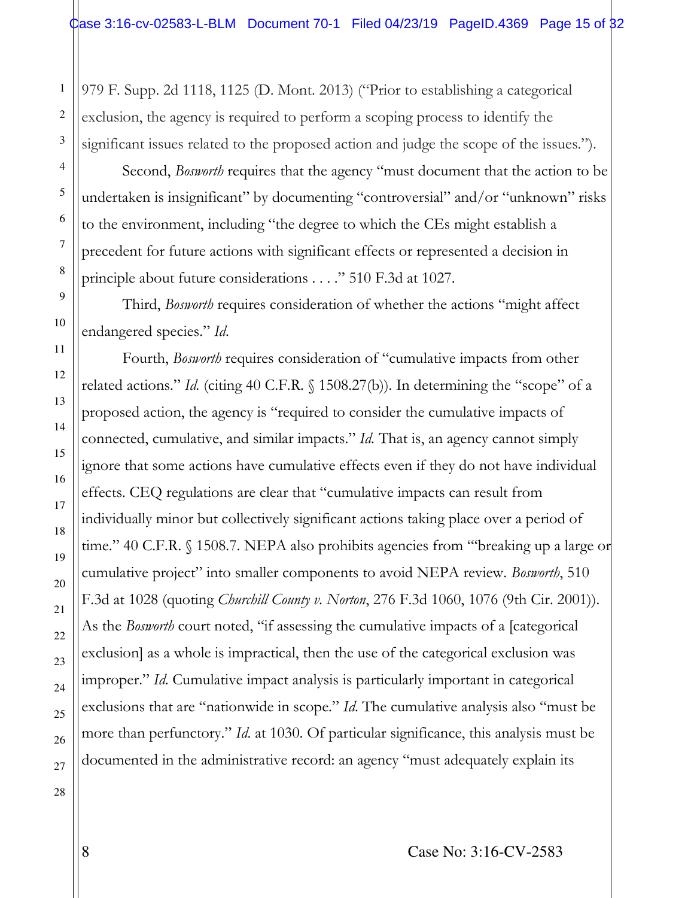979 F. Supp. 2d 1118, 1125 (D. Mont. 2013) ("Prior to establishing a categorical exclusion, the agency is required to perform a scoping process to identify the significant issues related to the proposed action and judge the scope of the issues.").

Second, *Bosworth* requires that the agency "must document that the action to be undertaken is insignificant" by documenting "controversial" and/or "unknown" risks to the environment, including "the degree to which the CEs might establish a precedent for future actions with significant effects or represented a decision in principle about future considerations . . . ." 510 F.3d at 1027.

Third, *Bosworth* requires consideration of whether the actions "might affect endangered species." *Id*.

Fourth, *Bosworth* requires consideration of "cumulative impacts from other related actions." *Id.* (citing 40 C.F.R. § 1508.27(b)). In determining the "scope" of a proposed action, the agency is "required to consider the cumulative impacts of connected, cumulative, and similar impacts." *Id.* That is, an agency cannot simply ignore that some actions have cumulative effects even if they do not have individual effects. CEQ regulations are clear that "cumulative impacts can result from individually minor but collectively significant actions taking place over a period of time." 40 C.F.R. § 1508.7. NEPA also prohibits agencies from "'breaking up a large or cumulative project" into smaller components to avoid NEPA review. *Bosworth*, 510 F.3d at 1028 (quoting *Churchill County v. Norton*, 276 F.3d 1060, 1076 (9th Cir. 2001)). As the *Bosworth* court noted, "if assessing the cumulative impacts of a [categorical exclusion] as a whole is impractical, then the use of the categorical exclusion was improper." *Id*. Cumulative impact analysis is particularly important in categorical exclusions that are "nationwide in scope." *Id*. The cumulative analysis also "must be more than perfunctory." *Id*. at 1030. Of particular significance, this analysis must be documented in the administrative record: an agency "must adequately explain its

28

1

2

3

4

5

6

7

8

9

10

11

12

13

14

15

16

17

18

19

20

21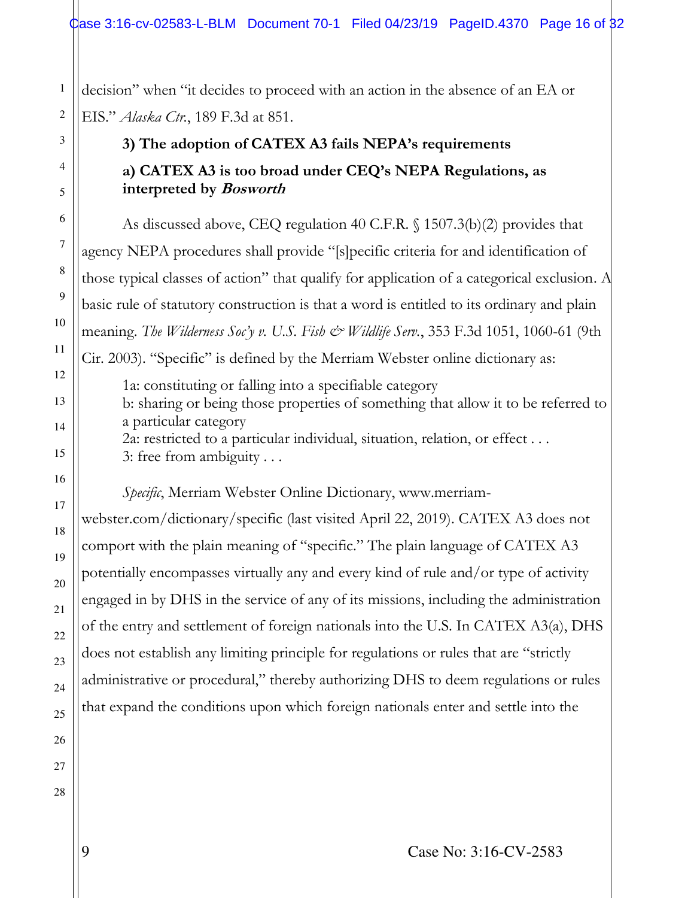decision" when "it decides to proceed with an action in the absence of an EA or EIS." *Alaska Ctr.*, 189 F.3d at 851.

# **3) The adoption of CATEX A3 fails NEPA's requirements a) CATEX A3 is too broad under CEQ's NEPA Regulations, as interpreted by Bosworth**

As discussed above, CEQ regulation 40 C.F.R. § 1507.3(b)(2) provides that agency NEPA procedures shall provide "[s]pecific criteria for and identification of those typical classes of action" that qualify for application of a categorical exclusion. A basic rule of statutory construction is that a word is entitled to its ordinary and plain meaning. *The Wilderness Soc'y v. U.S. Fish & Wildlife Serv.*, 353 F.3d 1051, 1060-61 (9th Cir. 2003). "Specific" is defined by the Merriam Webster online dictionary as:

1a: constituting or falling into a specifiable category b: sharing or being those properties of something that allow it to be referred to a particular category 2a: restricted to a particular individual, situation, relation, or effect . . . 3: free from ambiguity . . .

*Specific*, Merriam Webster Online Dictionary, www.merriam-

webster.com/dictionary/specific (last visited April 22, 2019). CATEX A3 does not comport with the plain meaning of "specific." The plain language of CATEX A3 potentially encompasses virtually any and every kind of rule and/or type of activity engaged in by DHS in the service of any of its missions, including the administration of the entry and settlement of foreign nationals into the U.S. In CATEX A3(a), DHS does not establish any limiting principle for regulations or rules that are "strictly administrative or procedural," thereby authorizing DHS to deem regulations or rules that expand the conditions upon which foreign nationals enter and settle into the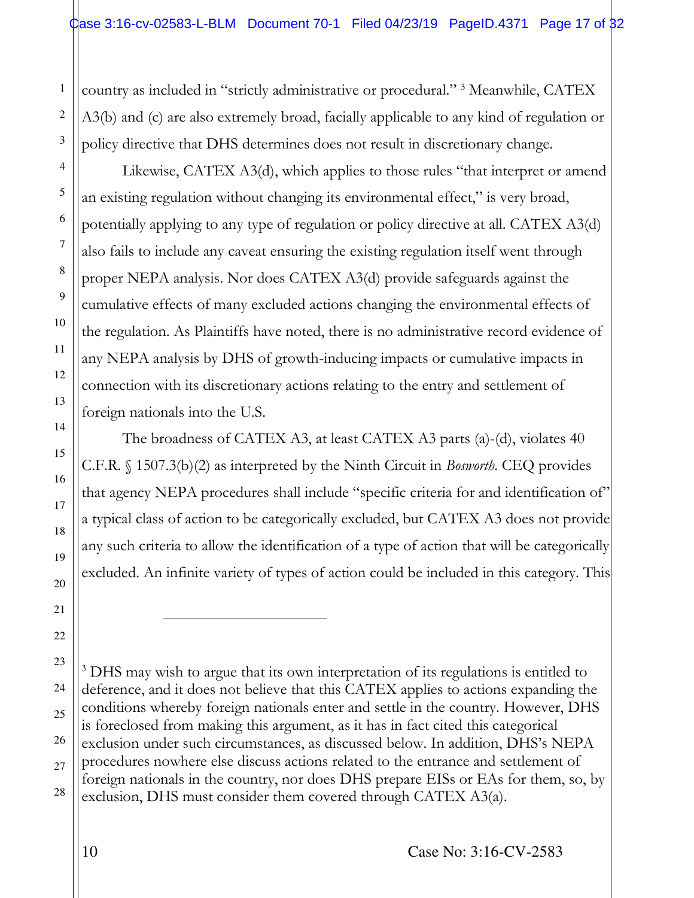country as included in "strictly administrative or procedural." <sup>3</sup> Meanwhile, CATEX A3(b) and (c) are also extremely broad, facially applicable to any kind of regulation or policy directive that DHS determines does not result in discretionary change.

Likewise, CATEX A3(d), which applies to those rules "that interpret or amend an existing regulation without changing its environmental effect," is very broad, potentially applying to any type of regulation or policy directive at all. CATEX A3(d) also fails to include any caveat ensuring the existing regulation itself went through proper NEPA analysis. Nor does CATEX A3(d) provide safeguards against the cumulative effects of many excluded actions changing the environmental effects of the regulation. As Plaintiffs have noted, there is no administrative record evidence of any NEPA analysis by DHS of growth-inducing impacts or cumulative impacts in connection with its discretionary actions relating to the entry and settlement of foreign nationals into the U.S.

 The broadness of CATEX A3, at least CATEX A3 parts (a)-(d), violates 40 C.F.R. § 1507.3(b)(2) as interpreted by the Ninth Circuit in *Bosworth*. CEQ provides that agency NEPA procedures shall include "specific criteria for and identification of" a typical class of action to be categorically excluded, but CATEX A3 does not provide any such criteria to allow the identification of a type of action that will be categorically excluded. An infinite variety of types of action could be included in this category. This

23 24 25 26 27 28 <sup>3</sup> DHS may wish to argue that its own interpretation of its regulations is entitled to deference, and it does not believe that this CATEX applies to actions expanding the conditions whereby foreign nationals enter and settle in the country. However, DHS is foreclosed from making this argument, as it has in fact cited this categorical exclusion under such circumstances, as discussed below. In addition, DHS's NEPA procedures nowhere else discuss actions related to the entrance and settlement of foreign nationals in the country, nor does DHS prepare EISs or EAs for them, so, by exclusion, DHS must consider them covered through CATEX A3(a).

1

2

3

4

5

6

7

8

9

10

11

12

13

14

15

16

17

18

19

20

21

֦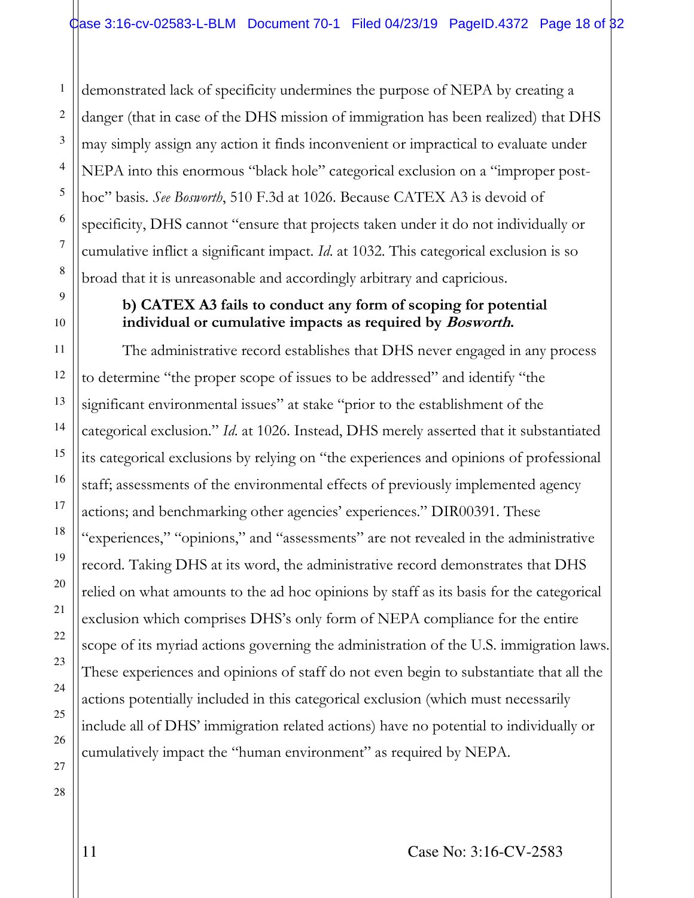demonstrated lack of specificity undermines the purpose of NEPA by creating a danger (that in case of the DHS mission of immigration has been realized) that DHS may simply assign any action it finds inconvenient or impractical to evaluate under NEPA into this enormous "black hole" categorical exclusion on a "improper posthoc" basis. *See Bosworth*, 510 F.3d at 1026. Because CATEX A3 is devoid of specificity, DHS cannot "ensure that projects taken under it do not individually or cumulative inflict a significant impact. *Id*. at 1032. This categorical exclusion is so broad that it is unreasonable and accordingly arbitrary and capricious.

#### **b) CATEX A3 fails to conduct any form of scoping for potential individual or cumulative impacts as required by Bosworth.**

The administrative record establishes that DHS never engaged in any process to determine "the proper scope of issues to be addressed" and identify "the significant environmental issues" at stake "prior to the establishment of the categorical exclusion." *Id*. at 1026. Instead, DHS merely asserted that it substantiated its categorical exclusions by relying on "the experiences and opinions of professional staff; assessments of the environmental effects of previously implemented agency actions; and benchmarking other agencies' experiences." DIR00391. These "experiences," "opinions," and "assessments" are not revealed in the administrative record. Taking DHS at its word, the administrative record demonstrates that DHS relied on what amounts to the ad hoc opinions by staff as its basis for the categorical exclusion which comprises DHS's only form of NEPA compliance for the entire scope of its myriad actions governing the administration of the U.S. immigration laws. These experiences and opinions of staff do not even begin to substantiate that all the actions potentially included in this categorical exclusion (which must necessarily include all of DHS' immigration related actions) have no potential to individually or cumulatively impact the "human environment" as required by NEPA.

1

2

11 Case No: 3:16-CV-2583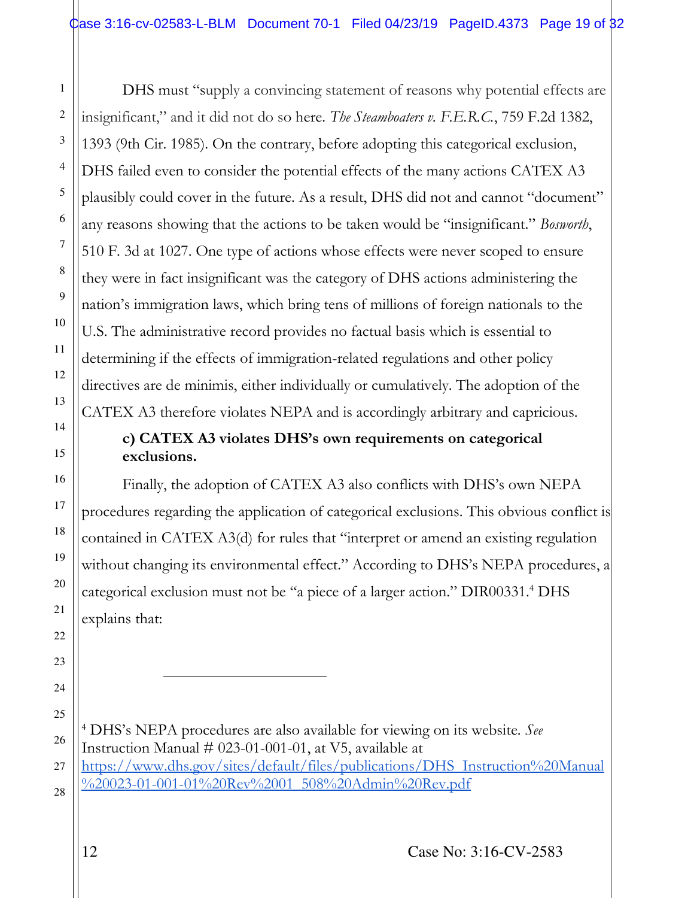DHS must "supply a convincing statement of reasons why potential effects are insignificant," and it did not do so here. *The Steamboaters v. F.E.R.C.*, 759 F.2d 1382, 1393 (9th Cir. 1985). On the contrary, before adopting this categorical exclusion, DHS failed even to consider the potential effects of the many actions CATEX A3 plausibly could cover in the future. As a result, DHS did not and cannot "document" any reasons showing that the actions to be taken would be "insignificant." *Bosworth*, 510 F. 3d at 1027. One type of actions whose effects were never scoped to ensure they were in fact insignificant was the category of DHS actions administering the nation's immigration laws, which bring tens of millions of foreign nationals to the U.S. The administrative record provides no factual basis which is essential to determining if the effects of immigration-related regulations and other policy directives are de minimis, either individually or cumulatively. The adoption of the CATEX A3 therefore violates NEPA and is accordingly arbitrary and capricious.

# **c) CATEX A3 violates DHS's own requirements on categorical exclusions.**

Finally, the adoption of CATEX A3 also conflicts with DHS's own NEPA procedures regarding the application of categorical exclusions. This obvious conflict is contained in CATEX A3(d) for rules that "interpret or amend an existing regulation without changing its environmental effect." According to DHS's NEPA procedures, a categorical exclusion must not be "a piece of a larger action." DIR00331.<sup>4</sup> DHS explains that:

25 26 27 28 <sup>4</sup> DHS's NEPA procedures are also available for viewing on its website. *See* Instruction Manual  $# 023-01-001-01$ , at V5, available at [https://www.dhs.gov/sites/default/files/publications/DHS\\_Instruction%20Manual](https://www.dhs.gov/sites/default/files/publications/DHS_Instruction%20Manual%20023-01-001-01%20Rev%2001_508%20Admin%20Rev.pdf) %20023-01-001-01%20Rev%2001\_508%20Admin%20Rev.pdf

1

2

3

4

5

6

7

8

9

10

11

12

13

14

15

16

17

18

19

20

21

22

23

24

 $\overline{a}$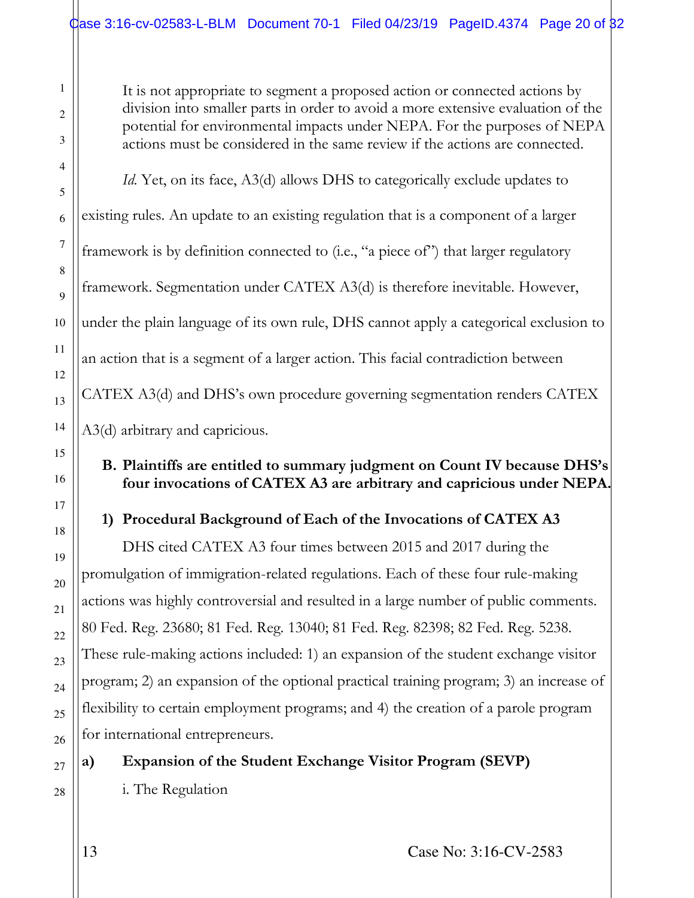It is not appropriate to segment a proposed action or connected actions by division into smaller parts in order to avoid a more extensive evaluation of the potential for environmental impacts under NEPA. For the purposes of NEPA actions must be considered in the same review if the actions are connected.

*Id.* Yet, on its face, A3(d) allows DHS to categorically exclude updates to existing rules. An update to an existing regulation that is a component of a larger framework is by definition connected to (i.e., "a piece of") that larger regulatory framework. Segmentation under CATEX A3(d) is therefore inevitable. However, under the plain language of its own rule, DHS cannot apply a categorical exclusion to an action that is a segment of a larger action. This facial contradiction between CATEX A3(d) and DHS's own procedure governing segmentation renders CATEX A3(d) arbitrary and capricious.

## **B. Plaintiffs are entitled to summary judgment on Count IV because DHS's four invocations of CATEX A3 are arbitrary and capricious under NEPA.**

# **1) Procedural Background of Each of the Invocations of CATEX A3**

DHS cited CATEX A3 four times between 2015 and 2017 during the promulgation of immigration-related regulations. Each of these four rule-making actions was highly controversial and resulted in a large number of public comments. 80 Fed. Reg. 23680; 81 Fed. Reg. 13040; 81 Fed. Reg. 82398; 82 Fed. Reg. 5238. These rule-making actions included: 1) an expansion of the student exchange visitor program; 2) an expansion of the optional practical training program; 3) an increase of flexibility to certain employment programs; and 4) the creation of a parole program for international entrepreneurs.

**a) Expansion of the Student Exchange Visitor Program (SEVP)** 

i. The Regulation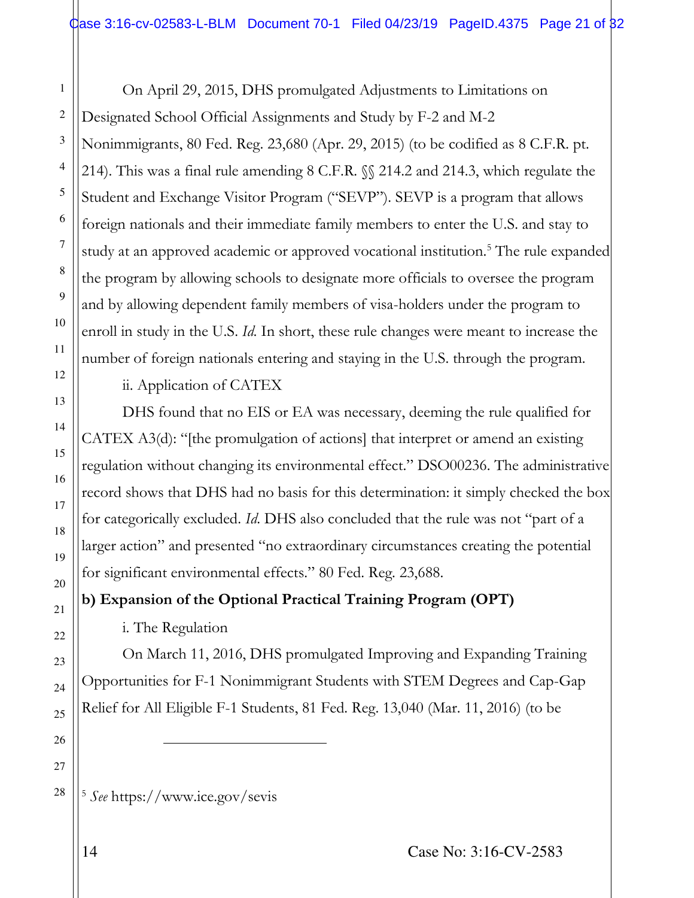On April 29, 2015, DHS promulgated Adjustments to Limitations on Designated School Official Assignments and Study by F-2 and M-2 Nonimmigrants, 80 Fed. Reg. 23,680 (Apr. 29, 2015) (to be codified as 8 C.F.R. pt. 214). This was a final rule amending 8 C.F.R. §§ 214.2 and 214.3, which regulate the Student and Exchange Visitor Program ("SEVP"). SEVP is a program that allows foreign nationals and their immediate family members to enter the U.S. and stay to study at an approved academic or approved vocational institution.<sup>5</sup> The rule expanded the program by allowing schools to designate more officials to oversee the program and by allowing dependent family members of visa-holders under the program to enroll in study in the U.S. *Id.* In short, these rule changes were meant to increase the number of foreign nationals entering and staying in the U.S. through the program.

ii. Application of CATEX

DHS found that no EIS or EA was necessary, deeming the rule qualified for CATEX A3(d): "[the promulgation of actions] that interpret or amend an existing regulation without changing its environmental effect." DSO00236. The administrative record shows that DHS had no basis for this determination: it simply checked the box for categorically excluded. *Id*. DHS also concluded that the rule was not "part of a larger action" and presented "no extraordinary circumstances creating the potential for significant environmental effects." 80 Fed. Reg. 23,688.

**b) Expansion of the Optional Practical Training Program (OPT)** 

i. The Regulation

On March 11, 2016, DHS promulgated Improving and Expanding Training Opportunities for F-1 Nonimmigrant Students with STEM Degrees and Cap-Gap Relief for All Eligible F-1 Students, 81 Fed. Reg. 13,040 (Mar. 11, 2016) (to be

<sup>5</sup> *See* https://www.ice.gov/sevis

L

1

2

3

4

5

6

7

8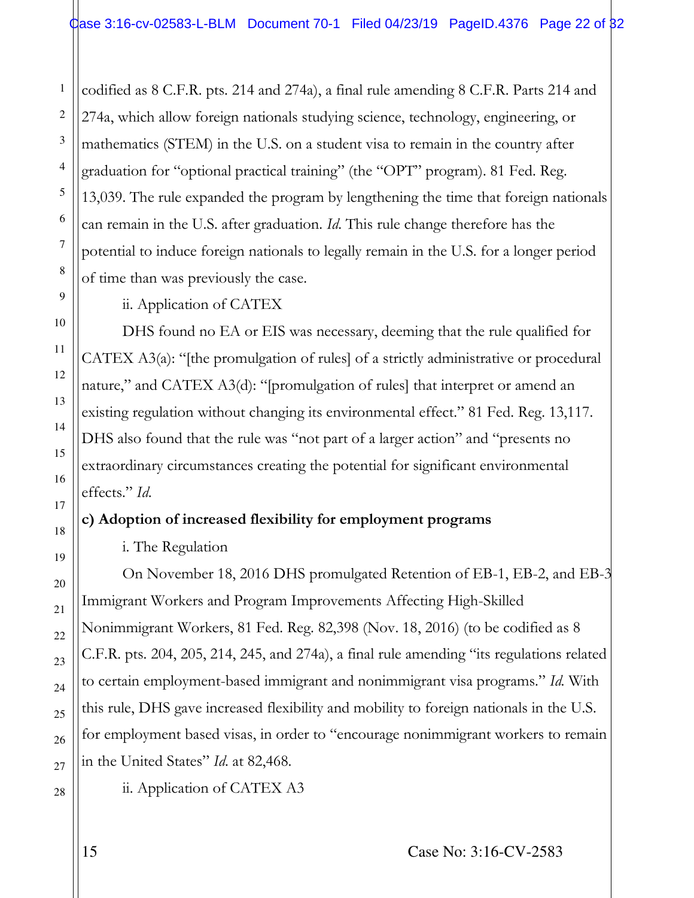codified as 8 C.F.R. pts. 214 and 274a), a final rule amending 8 C.F.R. Parts 214 and 274a, which allow foreign nationals studying science, technology, engineering, or mathematics (STEM) in the U.S. on a student visa to remain in the country after graduation for "optional practical training" (the "OPT" program). 81 Fed. Reg. 13,039. The rule expanded the program by lengthening the time that foreign nationals can remain in the U.S. after graduation. *Id*. This rule change therefore has the potential to induce foreign nationals to legally remain in the U.S. for a longer period of time than was previously the case.

#### ii. Application of CATEX

DHS found no EA or EIS was necessary, deeming that the rule qualified for CATEX A3(a): "[the promulgation of rules] of a strictly administrative or procedural nature," and CATEX A3(d): "[promulgation of rules] that interpret or amend an existing regulation without changing its environmental effect." 81 Fed. Reg. 13,117. DHS also found that the rule was "not part of a larger action" and "presents no extraordinary circumstances creating the potential for significant environmental effects." *Id*.

## **c) Adoption of increased flexibility for employment programs**

#### i. The Regulation

On November 18, 2016 DHS promulgated Retention of EB-1, EB-2, and EB-3 Immigrant Workers and Program Improvements Affecting High-Skilled Nonimmigrant Workers, 81 Fed. Reg. 82,398 (Nov. 18, 2016) (to be codified as 8 C.F.R. pts. 204, 205, 214, 245, and 274a), a final rule amending "its regulations related to certain employment-based immigrant and nonimmigrant visa programs." *Id.* With this rule, DHS gave increased flexibility and mobility to foreign nationals in the U.S. for employment based visas, in order to "encourage nonimmigrant workers to remain in the United States" *Id*. at 82,468.

1

2

3

4

5

6

7

8

9

10

11

12

13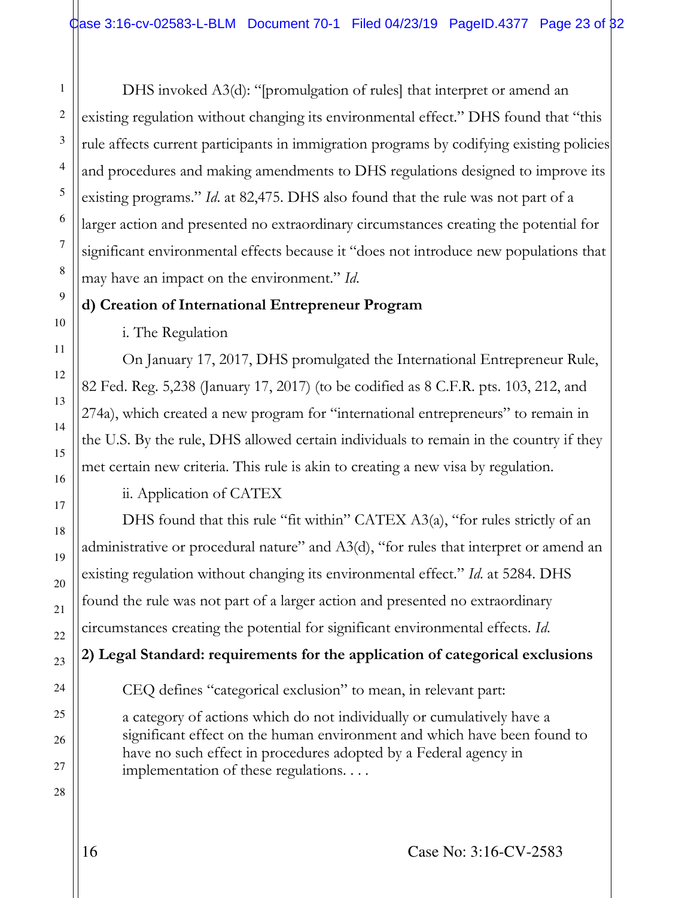DHS invoked A3(d): "[promulgation of rules] that interpret or amend an existing regulation without changing its environmental effect." DHS found that "this rule affects current participants in immigration programs by codifying existing policies and procedures and making amendments to DHS regulations designed to improve its existing programs." *Id*. at 82,475. DHS also found that the rule was not part of a larger action and presented no extraordinary circumstances creating the potential for significant environmental effects because it "does not introduce new populations that may have an impact on the environment." *Id*.

#### **d) Creation of International Entrepreneur Program**

i. The Regulation

On January 17, 2017, DHS promulgated the International Entrepreneur Rule, 82 Fed. Reg. 5,238 (January 17, 2017) (to be codified as 8 C.F.R. pts. 103, 212, and 274a), which created a new program for "international entrepreneurs" to remain in the U.S. By the rule, DHS allowed certain individuals to remain in the country if they met certain new criteria. This rule is akin to creating a new visa by regulation.

ii. Application of CATEX

DHS found that this rule "fit within" CATEX A3(a), "for rules strictly of an administrative or procedural nature" and A3(d), "for rules that interpret or amend an existing regulation without changing its environmental effect." *Id*. at 5284. DHS found the rule was not part of a larger action and presented no extraordinary circumstances creating the potential for significant environmental effects. *Id*.

**2) Legal Standard: requirements for the application of categorical exclusions** 

CEQ defines "categorical exclusion" to mean, in relevant part:

a category of actions which do not individually or cumulatively have a significant effect on the human environment and which have been found to have no such effect in procedures adopted by a Federal agency in implementation of these regulations. . . .

1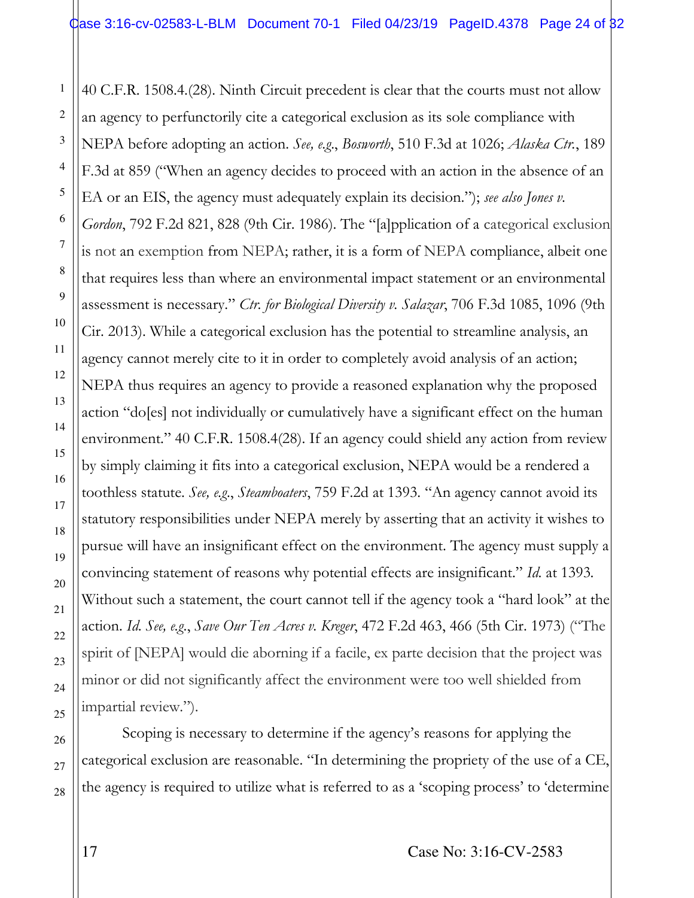40 C.F.R. 1508.4.(28). Ninth Circuit precedent is clear that the courts must not allow an agency to perfunctorily cite a categorical exclusion as its sole compliance with NEPA before adopting an action. *See, e.g*., *Bosworth*, 510 F.3d at 1026; *Alaska Ctr.*, 189 F.3d at 859 ("When an agency decides to proceed with an action in the absence of an EA or an EIS, the agency must adequately explain its decision."); *see also Jones v. Gordon*, 792 F.2d 821, 828 (9th Cir. 1986). The "[a]pplication of a categorical exclusion is not an exemption from NEPA; rather, it is a form of NEPA compliance, albeit one that requires less than where an environmental impact statement or an environmental assessment is necessary." *Ctr. for Biological Diversity v. Salazar*, 706 F.3d 1085, 1096 (9th Cir. 2013). While a categorical exclusion has the potential to streamline analysis, an agency cannot merely cite to it in order to completely avoid analysis of an action; NEPA thus requires an agency to provide a reasoned explanation why the proposed action "do[es] not individually or cumulatively have a significant effect on the human environment." 40 C.F.R. 1508.4(28). If an agency could shield any action from review by simply claiming it fits into a categorical exclusion, NEPA would be a rendered a toothless statute. *See, e.g*., *Steamboaters*, 759 F.2d at 1393. "An agency cannot avoid its statutory responsibilities under NEPA merely by asserting that an activity it wishes to pursue will have an insignificant effect on the environment. The agency must supply a convincing statement of reasons why potential effects are insignificant." *Id.* at 1393*[.](http://www.westlaw.com/Link/Document/FullText?findType=Y&serNum=1985123532&pubNum=350&originatingDoc=I4c17dc0c94af11d9a707f4371c9c34f0&refType=RP&fi=co_pp_sp_350_1393&originationContext=document&vr=3.0&rs=cblt1.0&transitionType=DocumentItem&contextData=(sc.DocLink)#co_pp_sp_350_1393)* Without such a statement, the court cannot tell if the agency took a "hard look" at the action. *Id*. *See, e.g*., *[Save Our Ten Acres v. Kreger](https://1.next.westlaw.com/Link/Document/FullText?findType=Y&serNum=1973108291&pubNum=350&originatingDoc=Icd23d6c5931311d993e6d35cc61aab4a&refType=RP&fi=co_pp_sp_350_466&originationContext=document&transitionType=DocumentItem&contextData=(sc.Search)#co_pp_sp_350_466)*[, 472 F.2d 463, 466 \(5th Cir. 1973\)](https://1.next.westlaw.com/Link/Document/FullText?findType=Y&serNum=1973108291&pubNum=350&originatingDoc=Icd23d6c5931311d993e6d35cc61aab4a&refType=RP&fi=co_pp_sp_350_466&originationContext=document&transitionType=DocumentItem&contextData=(sc.Search)#co_pp_sp_350_466) ("The spirit of [NEPA] would die aborning if a facile, ex parte decision that the project was minor or did not significantly affect the environment were too well shielded from impartial review.").

28 Scoping is necessary to determine if the agency's reasons for applying the categorical exclusion are reasonable. "In determining the propriety of the use of a CE, the agency is required to utilize what is referred to as a 'scoping process' to 'determine

1

2

3

4

5

6

7

8

9

10

11

12

13

14

15

16

17

18

19

20

21

22

23

24

25

26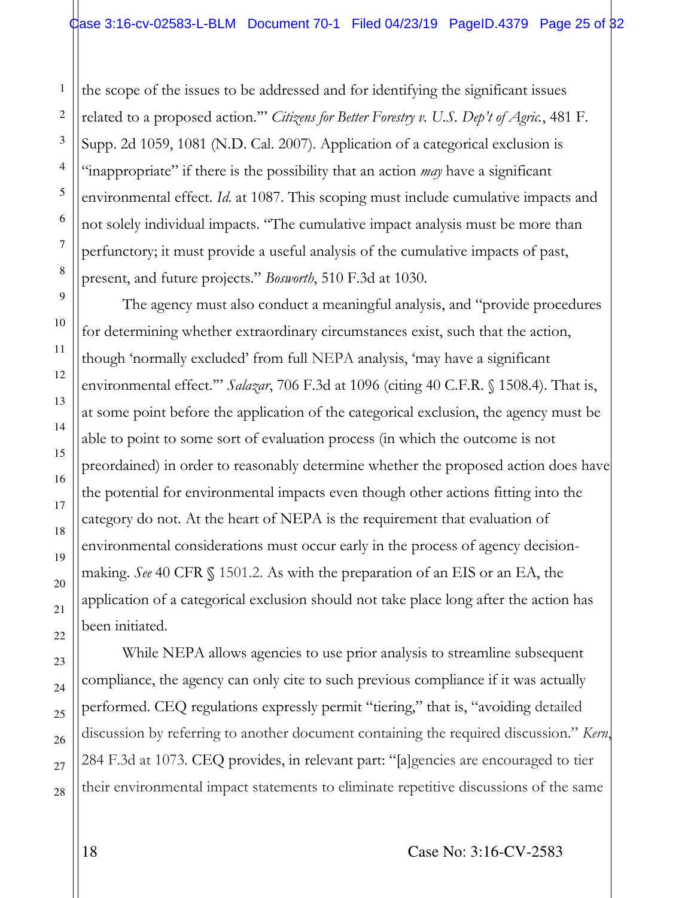the scope of the issues to be addressed and for identifying the significant issues related to a proposed action.'" *Citizens for Better Forestry v. U.S. Dep't of Agric.*, 481 F. Supp. 2d 1059, 1081 (N.D. Cal. 2007). Application of a categorical exclusion is "inappropriate" if there is the possibility that an action *may* have a significant environmental effect. *Id*. at 1087. This scoping must include cumulative impacts and not solely individual impacts. "The cumulative impact analysis must be more than perfunctory; it must provide a useful analysis of the cumulative impacts of past, present, and future projects." *Bosworth*, 510 F.3d at 1030.

The agency must also conduct a meaningful analysis, and "provide procedures for determining whether extraordinary circumstances exist, such that the action, though 'normally excluded' from full NEPA analysis, 'may have a significant environmental effect.'" *Salazar*, 706 F.3d at 1096 (citing 40 C.F.R. § 1508.4). That is, at some point before the application of the categorical exclusion, the agency must be able to point to some sort of evaluation process (in which the outcome is not preordained) in order to reasonably determine whether the proposed action does have the potential for environmental impacts even though other actions fitting into the category do not. At the heart of NEPA is the requirement that evaluation of environmental considerations must occur early in the process of agency decisionmaking. *See* 40 CFR **§** 1501.2. As with the preparation of an EIS or an EA, the application of a categorical exclusion should not take place long after the action has been initiated.

While NEPA allows agencies to use prior analysis to streamline subsequent compliance, the agency can only cite to such previous compliance if it was actually performed. CEQ regulations expressly permit "tiering," that is, "avoiding detailed discussion by referring to another document containing the required discussion." *Kern*, 284 F.3d at 1073. CEQ provides, in relevant part: "[a]gencies are encouraged to tier their environmental impact statements to eliminate repetitive discussions of the same

1

2

3

4

5

6

7

8

9

10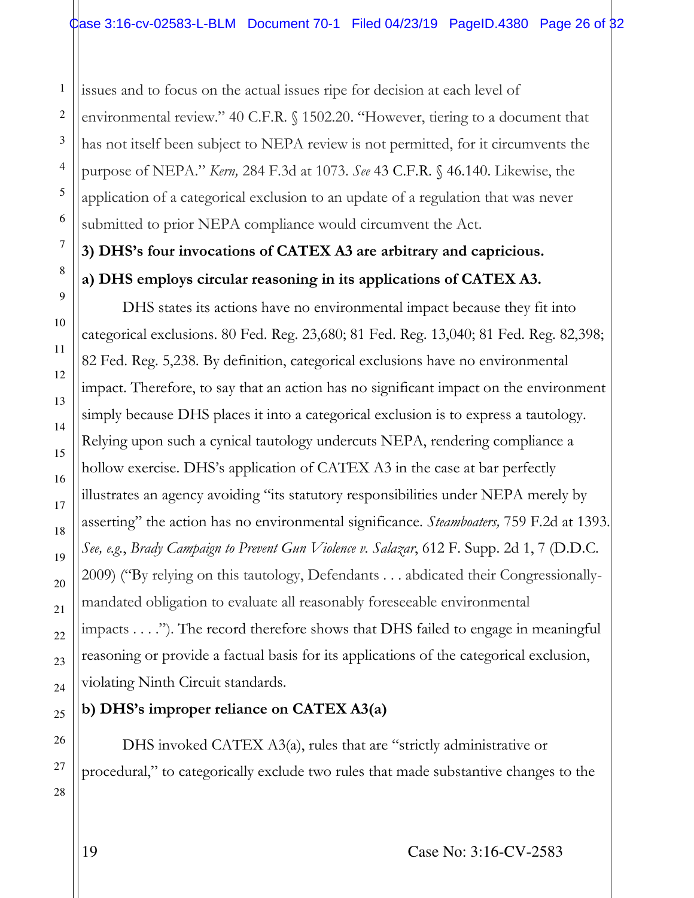issues and to focus on the actual issues ripe for decision at each level of environmental review." 40 C.F.R. § 1502.20. "However, tiering to a document that has not itself been subject to NEPA review is not permitted, for it circumvents the purpose of NEPA." *Kern,* 284 F.3d at 1073. *See* 43 C.F.R. § 46.140. Likewise, the application of a categorical exclusion to an update of a regulation that was never submitted to prior NEPA compliance would circumvent the Act.

# **3) DHS's four invocations of CATEX A3 are arbitrary and capricious. a) DHS employs circular reasoning in its applications of CATEX A3.**

DHS states its actions have no environmental impact because they fit into categorical exclusions. 80 Fed. Reg. 23,680; 81 Fed. Reg. 13,040; 81 Fed. Reg. 82,398; 82 Fed. Reg. 5,238. By definition, categorical exclusions have no environmental impact. Therefore, to say that an action has no significant impact on the environment simply because DHS places it into a categorical exclusion is to express a tautology. Relying upon such a cynical tautology undercuts NEPA, rendering compliance a hollow exercise. DHS's application of CATEX A3 in the case at bar perfectly illustrates an agency avoiding "its statutory responsibilities under NEPA merely by asserting" the action has no environmental significance. *Steamboaters,* 759 F.2d at 1393. *See, e.g.*, *Brady Campaign to Prevent Gun Violence v. Salazar*, 612 F. Supp. 2d 1, 7 (D.D.C. 2009) ("By relying on this tautology, Defendants . . . abdicated their Congressionallymandated obligation to evaluate all reasonably foreseeable environmental impacts . . . ."). The record therefore shows that DHS failed to engage in meaningful reasoning or provide a factual basis for its applications of the categorical exclusion, violating Ninth Circuit standards.

## **b) DHS's improper reliance on CATEX A3(a)**

DHS invoked CATEX A3(a), rules that are "strictly administrative or procedural," to categorically exclude two rules that made substantive changes to the

1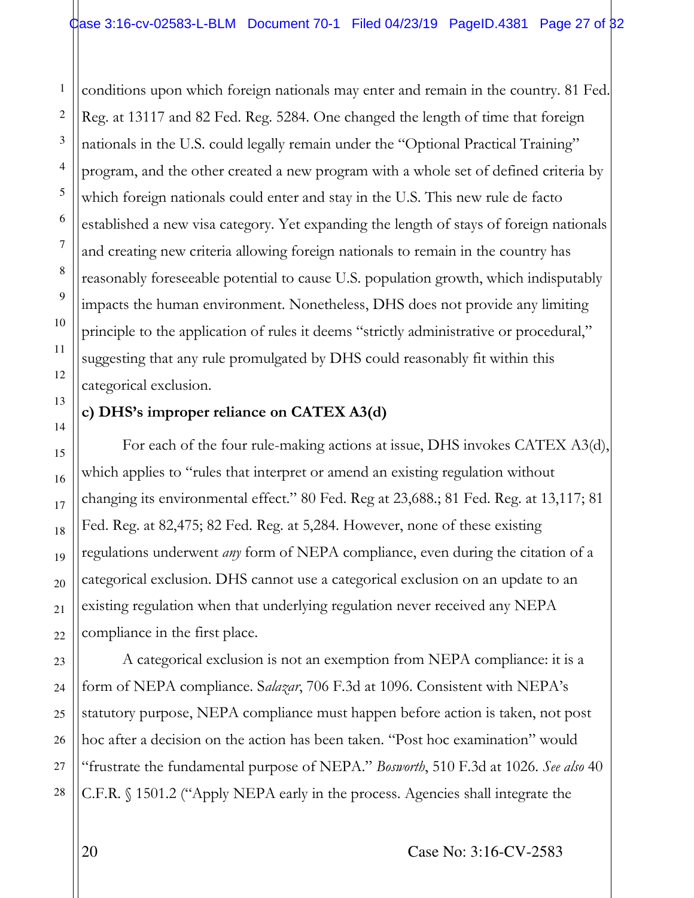conditions upon which foreign nationals may enter and remain in the country. 81 Fed. Reg. at 13117 and 82 Fed. Reg. 5284. One changed the length of time that foreign nationals in the U.S. could legally remain under the "Optional Practical Training" program, and the other created a new program with a whole set of defined criteria by which foreign nationals could enter and stay in the U.S. This new rule de facto established a new visa category. Yet expanding the length of stays of foreign nationals and creating new criteria allowing foreign nationals to remain in the country has reasonably foreseeable potential to cause U.S. population growth, which indisputably impacts the human environment. Nonetheless, DHS does not provide any limiting principle to the application of rules it deems "strictly administrative or procedural," suggesting that any rule promulgated by DHS could reasonably fit within this categorical exclusion.

#### **c) DHS's improper reliance on CATEX A3(d)**

For each of the four rule-making actions at issue, DHS invokes CATEX A3(d), which applies to "rules that interpret or amend an existing regulation without changing its environmental effect." 80 Fed. Reg at 23,688.; 81 Fed. Reg. at 13,117; 81 Fed. Reg. at 82,475; 82 Fed. Reg. at 5,284. However, none of these existing regulations underwent *any* form of NEPA compliance, even during the citation of a categorical exclusion. DHS cannot use a categorical exclusion on an update to an existing regulation when that underlying regulation never received any NEPA compliance in the first place.

A categorical exclusion is not an exemption from NEPA compliance: it is a form of NEPA compliance. S*alazar*, 706 F.3d at 1096. Consistent with NEPA's statutory purpose, NEPA compliance must happen before action is taken, not post hoc after a decision on the action has been taken. "Post hoc examination" would "frustrate the fundamental purpose of NEPA." *Bosworth*, 510 F.3d at 1026. *See also* 40 C.F.R. § 1501.2 ("Apply NEPA early in the process. Agencies shall integrate the

1

2

3

4

5

6

7

8

9

10

11

12

13

14

15

16

17

18

19

20

21

22

23

24

25

26

27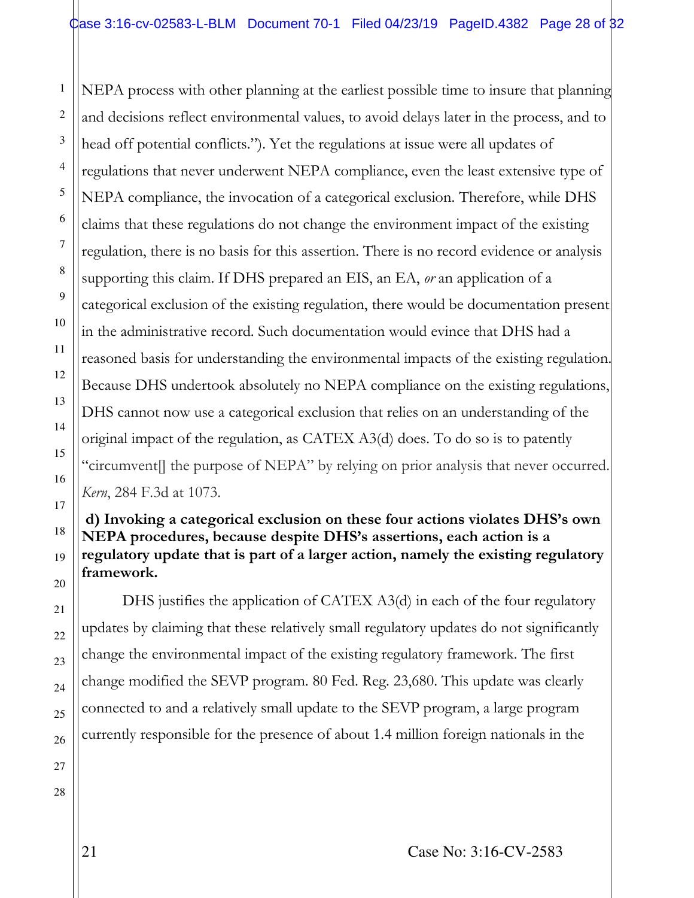NEPA process with other planning at the earliest possible time to insure that planning and decisions reflect environmental values, to avoid delays later in the process, and to head off potential conflicts."). Yet the regulations at issue were all updates of regulations that never underwent NEPA compliance, even the least extensive type of NEPA compliance, the invocation of a categorical exclusion. Therefore, while DHS claims that these regulations do not change the environment impact of the existing regulation, there is no basis for this assertion. There is no record evidence or analysis supporting this claim. If DHS prepared an EIS, an EA, *or* an application of a categorical exclusion of the existing regulation, there would be documentation present in the administrative record. Such documentation would evince that DHS had a reasoned basis for understanding the environmental impacts of the existing regulation. Because DHS undertook absolutely no NEPA compliance on the existing regulations, DHS cannot now use a categorical exclusion that relies on an understanding of the original impact of the regulation, as CATEX A3(d) does. To do so is to patently "circumvent[] the purpose of NEPA" by relying on prior analysis that never occurred. *Kern*, 284 F.3d at 1073.

#### **d) Invoking a categorical exclusion on these four actions violates DHS's own NEPA procedures, because despite DHS's assertions, each action is a regulatory update that is part of a larger action, namely the existing regulatory framework.**

DHS justifies the application of CATEX A3(d) in each of the four regulatory updates by claiming that these relatively small regulatory updates do not significantly change the environmental impact of the existing regulatory framework. The first change modified the SEVP program. 80 Fed. Reg. 23,680. This update was clearly connected to and a relatively small update to the SEVP program, a large program currently responsible for the presence of about 1.4 million foreign nationals in the

25 26 27

28

1

2

3

4

5

6

7

8

9

10

11

12

13

14

15

16

17

18

19

20

21

22

23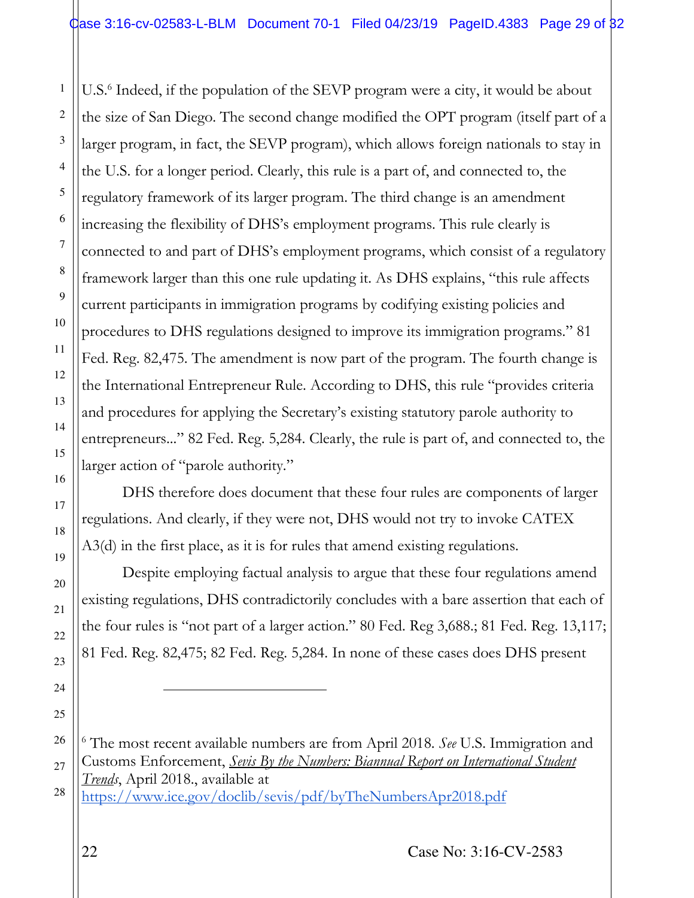U.S.<sup>6</sup> Indeed, if the population of the SEVP program were a city, it would be about the size of San Diego. The second change modified the OPT program (itself part of a larger program, in fact, the SEVP program), which allows foreign nationals to stay in the U.S. for a longer period. Clearly, this rule is a part of, and connected to, the regulatory framework of its larger program. The third change is an amendment increasing the flexibility of DHS's employment programs. This rule clearly is connected to and part of DHS's employment programs, which consist of a regulatory framework larger than this one rule updating it. As DHS explains, "this rule affects current participants in immigration programs by codifying existing policies and procedures to DHS regulations designed to improve its immigration programs." 81 Fed. Reg. 82,475. The amendment is now part of the program. The fourth change is the International Entrepreneur Rule. According to DHS, this rule "provides criteria and procedures for applying the Secretary's existing statutory parole authority to entrepreneurs..." 82 Fed. Reg. 5,284. Clearly, the rule is part of, and connected to, the larger action of "parole authority."

DHS therefore does document that these four rules are components of larger regulations. And clearly, if they were not, DHS would not try to invoke CATEX A3(d) in the first place, as it is for rules that amend existing regulations.

Despite employing factual analysis to argue that these four regulations amend existing regulations, DHS contradictorily concludes with a bare assertion that each of the four rules is "not part of a larger action." 80 Fed. Reg 3,688.; 81 Fed. Reg. 13,117; 81 Fed. Reg. 82,475; 82 Fed. Reg. 5,284. In none of these cases does DHS present

28 <https://www.ice.gov/doclib/sevis/pdf/byTheNumbersApr2018.pdf>

1

2

3

4

5

6

7

8

9

10

11

12

13

14

15

16

17

18

19

20

21

22

23

24

֦

<sup>26</sup> 27 6 The most recent available numbers are from April 2018. *See* U.S. Immigration and Customs Enforcement, *Sevis By the Numbers: Biannual Report on International Student Trends*, April 2018., available at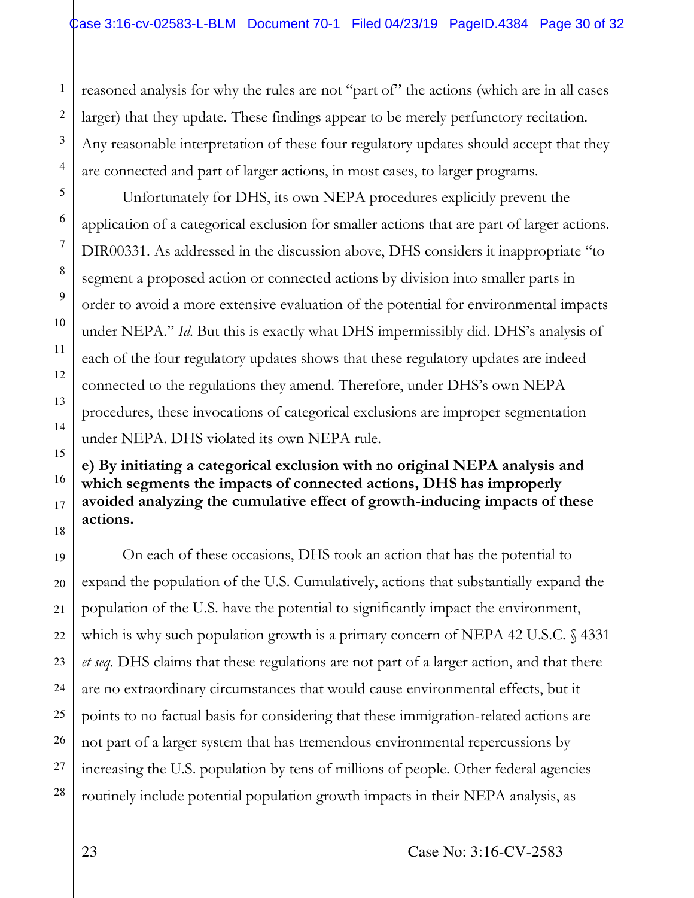reasoned analysis for why the rules are not "part of" the actions (which are in all cases) larger) that they update. These findings appear to be merely perfunctory recitation. Any reasonable interpretation of these four regulatory updates should accept that they are connected and part of larger actions, in most cases, to larger programs.

Unfortunately for DHS, its own NEPA procedures explicitly prevent the application of a categorical exclusion for smaller actions that are part of larger actions. DIR00331. As addressed in the discussion above, DHS considers it inappropriate "to segment a proposed action or connected actions by division into smaller parts in order to avoid a more extensive evaluation of the potential for environmental impacts under NEPA." *Id*. But this is exactly what DHS impermissibly did. DHS's analysis of each of the four regulatory updates shows that these regulatory updates are indeed connected to the regulations they amend. Therefore, under DHS's own NEPA procedures, these invocations of categorical exclusions are improper segmentation under NEPA. DHS violated its own NEPA rule.

**e) By initiating a categorical exclusion with no original NEPA analysis and which segments the impacts of connected actions, DHS has improperly avoided analyzing the cumulative effect of growth-inducing impacts of these actions.** 

On each of these occasions, DHS took an action that has the potential to expand the population of the U.S. Cumulatively, actions that substantially expand the population of the U.S. have the potential to significantly impact the environment, which is why such population growth is a primary concern of NEPA 42 U.S.C. § 4331 *et seq.* DHS claims that these regulations are not part of a larger action, and that there are no extraordinary circumstances that would cause environmental effects, but it points to no factual basis for considering that these immigration-related actions are not part of a larger system that has tremendous environmental repercussions by increasing the U.S. population by tens of millions of people. Other federal agencies routinely include potential population growth impacts in their NEPA analysis, as

1

2

3

4

5

6

7

8

9

10

11

12

13

14

15

16

17

18

19

20

21

22

23

24

25

26

27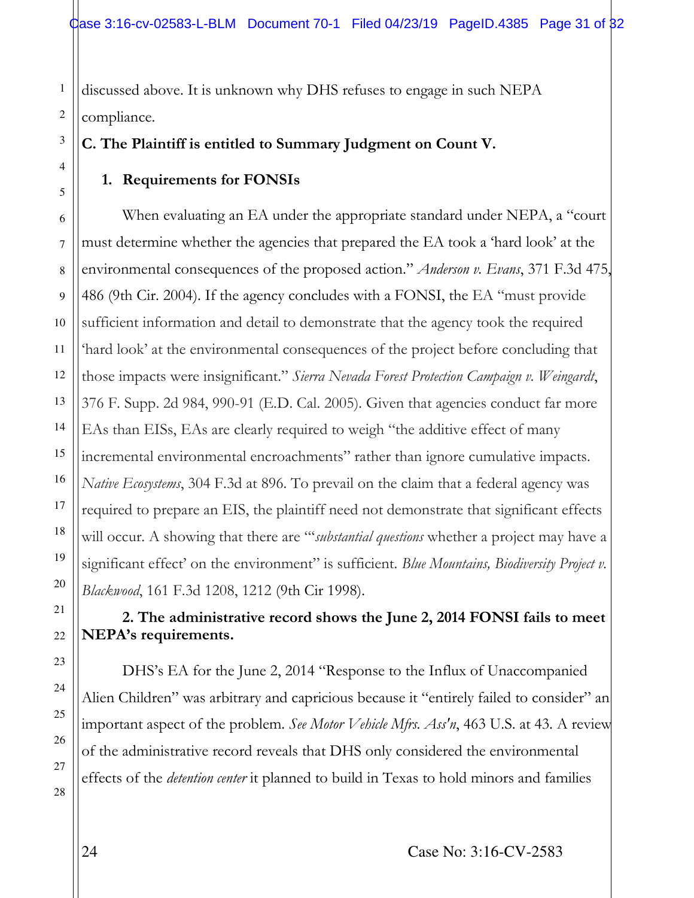discussed above. It is unknown why DHS refuses to engage in such NEPA compliance.

**C. The Plaintiff is entitled to Summary Judgment on Count V.** 

## **1. Requirements for FONSIs**

When evaluating an EA under the appropriate standard under NEPA, a "court must determine whether the agencies that prepared the EA took a 'hard look' at the environmental consequences of the proposed action." *Anderson v. Evans*, 371 F.3d 475, 486 (9th Cir. 2004). If the agency concludes with a FONSI, the EA "must provide sufficient information and detail to demonstrate that the agency took the required 'hard look' at the environmental consequences of the project before concluding that those impacts were insignificant." *Sierra Nevada Forest Protection Campaign v. Weingardt*, 376 F. Supp. 2d 984, 990-91 (E.D. Cal. 2005). Given that agencies conduct far more EAs than EISs, EAs are clearly required to weigh "the additive effect of many incremental environmental encroachments" rather than ignore cumulative impacts. *Native Ecosystems*, 304 F.3d at 896. To prevail on the claim that a federal agency was required to prepare an EIS, the plaintiff need not demonstrate that significant effects will occur. A showing that there are "'*substantial questions* whether a project may have a significant effect' on the environment" is sufficient. *Blue Mountains*, *Biodiversity Project v*. *Blackwood*, 161 F.3d 1208, 1212 (9th Cir 1998).

# **2. The administrative record shows the June 2, 2014 FONSI fails to meet NEPA's requirements.**

DHS's EA for the June 2, 2014 "Response to the Influx of Unaccompanied Alien Children" was arbitrary and capricious because it "entirely failed to consider" an important aspect of the problem. *See Motor Vehicle Mfrs. Ass'n*, 463 U.S. at 43. A review of the administrative record reveals that DHS only considered the environmental effects of the *detention center* it planned to build in Texas to hold minors and families